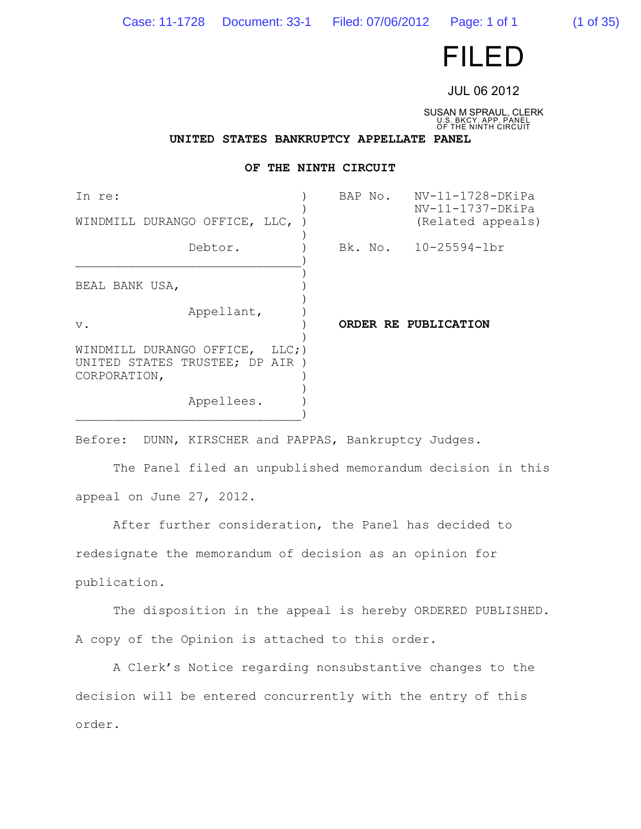Case: 11-1728 Document: 33-1 Filed: 07/06/2012 Page: 1 of 1 (1 of 35)

# FILED

JUL 06 2012

SUSAN M SPRAUL, CLERK U.S. BKCY. APP. PANEL OF THE NINTH CIRCUIT

**UNITED STATES BANKRUPTCY APPELLATE PANEL**

# **OF THE NINTH CIRCUIT**

| In re:<br>WINDMILL DURANGO OFFICE, LLC,                                           | NV-11-1728-DKiPa<br>BAP No.<br>$NV-11-1737-DKiPa$<br>(Related appeals) |
|-----------------------------------------------------------------------------------|------------------------------------------------------------------------|
| Debtor.                                                                           | Bk. No. 10-25594-1br                                                   |
| BEAL BANK USA,                                                                    |                                                                        |
| Appellant,<br>$V$ .                                                               | ORDER RE PUBLICATION                                                   |
| WINDMILL DURANGO OFFICE, LLC;)<br>UNITED STATES TRUSTEE; DP AIR )<br>CORPORATION, |                                                                        |
| Appellees.                                                                        |                                                                        |

Before: DUNN, KIRSCHER and PAPPAS, Bankruptcy Judges.

The Panel filed an unpublished memorandum decision in this appeal on June 27, 2012.

After further consideration, the Panel has decided to redesignate the memorandum of decision as an opinion for publication.

The disposition in the appeal is hereby ORDERED PUBLISHED. A copy of the Opinion is attached to this order.

A Clerk's Notice regarding nonsubstantive changes to the decision will be entered concurrently with the entry of this order.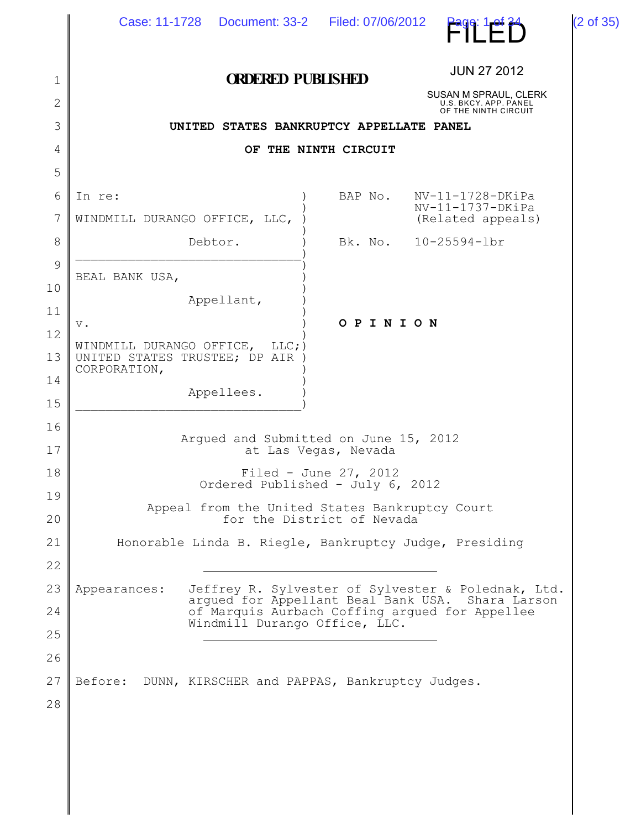|             | Case: 11-1728  Document: 33-2   Filed: 07/06/2012                               |                      | Page: 1 of 34                                                                                          | (2 of 35) |  |  |
|-------------|---------------------------------------------------------------------------------|----------------------|--------------------------------------------------------------------------------------------------------|-----------|--|--|
| $\mathbf 1$ | <b>ORDERED PUBLISHED</b>                                                        |                      | <b>JUN 27 2012</b>                                                                                     |           |  |  |
| 2           |                                                                                 |                      | SUSAN M SPRAUL, CLERK<br>U.S. BKCY. APP. PANEL<br>OF THE NINTH CIRCUIT                                 |           |  |  |
| 3           | UNITED STATES BANKRUPTCY APPELLATE PANEL                                        |                      |                                                                                                        |           |  |  |
| 4           |                                                                                 | OF THE NINTH CIRCUIT |                                                                                                        |           |  |  |
| 5           |                                                                                 |                      |                                                                                                        |           |  |  |
| 6           | In re:                                                                          | BAP No.              | $NV-11-1728-DKiPa$<br>$NV-11-1737-DKiPa$                                                               |           |  |  |
| 7           | WINDMILL DURANGO OFFICE, LLC,                                                   |                      | (Related appeals)                                                                                      |           |  |  |
| 8           | Debtor.                                                                         |                      | Bk. No. 10-25594-lbr                                                                                   |           |  |  |
| 9           | BEAL BANK USA,                                                                  |                      |                                                                                                        |           |  |  |
| 10          | Appellant,                                                                      |                      |                                                                                                        |           |  |  |
| 11          | $\mathbf v$ .                                                                   | OPINION              |                                                                                                        |           |  |  |
| 12<br>13    | WINDMILL DURANGO OFFICE, LLC;)<br>UNITED STATES TRUSTEE; DP AIR<br>CORPORATION, |                      |                                                                                                        |           |  |  |
| 14<br>15    | Appellees.                                                                      |                      |                                                                                                        |           |  |  |
| 16<br>17    | Arqued and Submitted on June 15, 2012                                           | at Las Vegas, Nevada |                                                                                                        |           |  |  |
| 18          | Filed - June 27, 2012<br>Ordered Published - July 6, 2012                       |                      |                                                                                                        |           |  |  |
| 19<br>20    | Appeal from the United States Bankruptcy Court<br>for the District of Nevada    |                      |                                                                                                        |           |  |  |
| 21          | Honorable Linda B. Riegle, Bankruptcy Judge, Presiding                          |                      |                                                                                                        |           |  |  |
| 22          |                                                                                 |                      |                                                                                                        |           |  |  |
| 23          | Appearances:                                                                    |                      | Jeffrey R. Sylvester of Sylvester & Polednak, Ltd.<br>arqued for Appellant Beal Bank USA. Shara Larson |           |  |  |
| 24          | Windmill Durango Office, LLC.                                                   |                      | of Marquis Aurbach Coffing argued for Appellee                                                         |           |  |  |
| 25          |                                                                                 |                      |                                                                                                        |           |  |  |
| 26          |                                                                                 |                      |                                                                                                        |           |  |  |
| 27          | Before:<br>DUNN, KIRSCHER and PAPPAS, Bankruptcy Judges.                        |                      |                                                                                                        |           |  |  |
| 28          |                                                                                 |                      |                                                                                                        |           |  |  |
|             |                                                                                 |                      |                                                                                                        |           |  |  |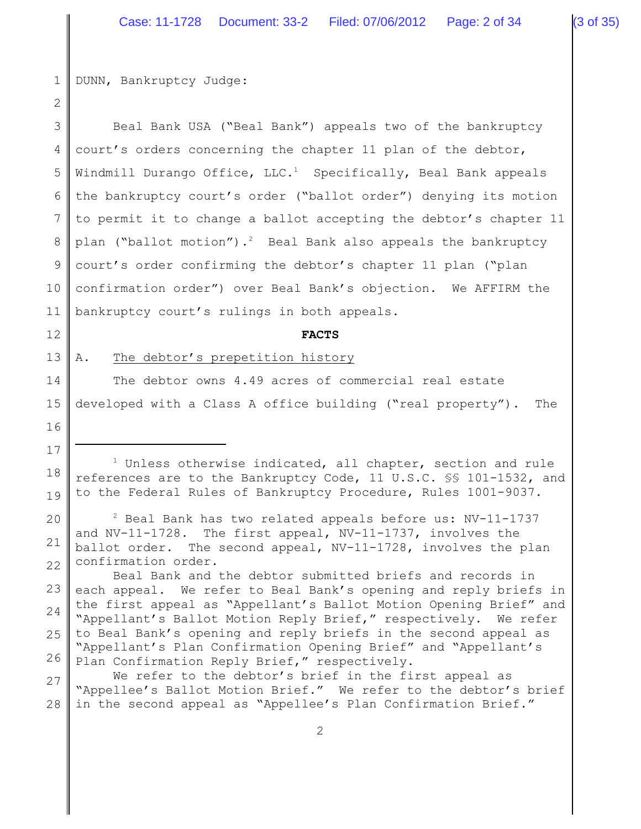1 DUNN, Bankruptcy Judge:

2 3 4 5 6 7 8 9 10 11 12 13 14 15 16 17 18 19 20 21 22 23 24 25 26 27 28  $1$  Unless otherwise indicated, all chapter, section and rule references are to the Bankruptcy Code, 11 U.S.C. §§ 101-1532, and to the Federal Rules of Bankruptcy Procedure, Rules 1001-9037.  $2$  Beal Bank has two related appeals before us: NV-11-1737 and NV-11-1728. The first appeal, NV-11-1737, involves the ballot order. The second appeal, NV-11-1728, involves the plan confirmation order. Beal Bank and the debtor submitted briefs and records in each appeal. We refer to Beal Bank's opening and reply briefs in the first appeal as "Appellant's Ballot Motion Opening Brief" and "Appellant's Ballot Motion Reply Brief," respectively. We refer to Beal Bank's opening and reply briefs in the second appeal as "Appellant's Plan Confirmation Opening Brief" and "Appellant's Plan Confirmation Reply Brief," respectively. We refer to the debtor's brief in the first appeal as "Appellee's Ballot Motion Brief." We refer to the debtor's brief in the second appeal as "Appellee's Plan Confirmation Brief." 2 Beal Bank USA ("Beal Bank") appeals two of the bankruptcy court's orders concerning the chapter 11 plan of the debtor, Windmill Durango Office,  $LLC.1$  Specifically, Beal Bank appeals the bankruptcy court's order ("ballot order") denying its motion to permit it to change a ballot accepting the debtor's chapter 11 plan ("ballot motion").<sup>2</sup> Beal Bank also appeals the bankruptcy court's order confirming the debtor's chapter 11 plan ("plan confirmation order") over Beal Bank's objection. We AFFIRM the bankruptcy court's rulings in both appeals. **FACTS** A. The debtor's prepetition history The debtor owns 4.49 acres of commercial real estate developed with a Class A office building ("real property"). The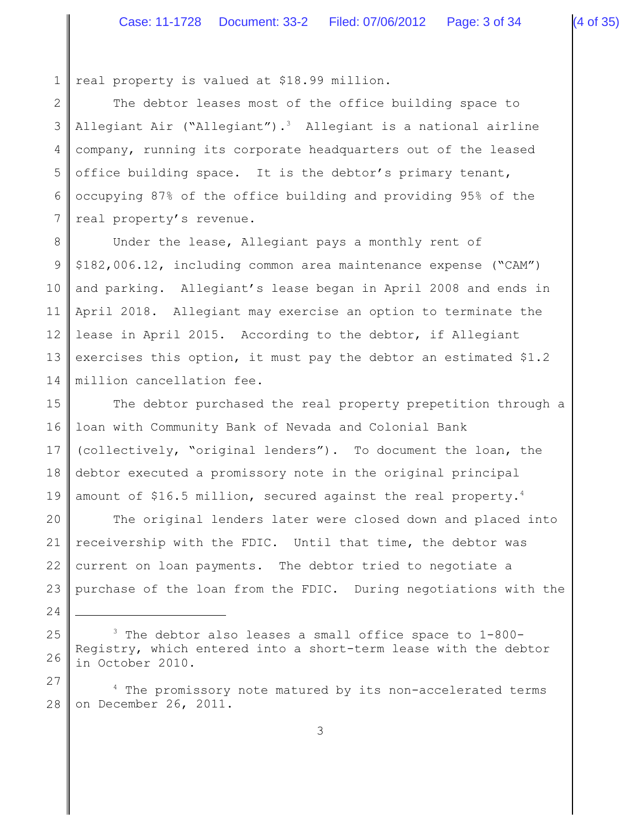1 real property is valued at \$18.99 million.

2 3 4 5 6 7 The debtor leases most of the office building space to Allegiant Air ("Allegiant").<sup>3</sup> Allegiant is a national airline company, running its corporate headquarters out of the leased office building space. It is the debtor's primary tenant, occupying 87% of the office building and providing 95% of the real property's revenue.

8 9 10 11 12 13 14 Under the lease, Allegiant pays a monthly rent of \$182,006.12, including common area maintenance expense ("CAM") and parking. Allegiant's lease began in April 2008 and ends in April 2018. Allegiant may exercise an option to terminate the lease in April 2015. According to the debtor, if Allegiant exercises this option, it must pay the debtor an estimated \$1.2 million cancellation fee.

15 16 17 18 19 The debtor purchased the real property prepetition through a loan with Community Bank of Nevada and Colonial Bank (collectively, "original lenders"). To document the loan, the debtor executed a promissory note in the original principal amount of \$16.5 million, secured against the real property.<sup>4</sup>

20 21 22 23 The original lenders later were closed down and placed into receivership with the FDIC. Until that time, the debtor was current on loan payments. The debtor tried to negotiate a purchase of the loan from the FDIC. During negotiations with the

25 26  $3$  The debtor also leases a small office space to  $1-800-$ Registry, which entered into a short-term lease with the debtor in October 2010.

24

27 28  $4$  The promissory note matured by its non-accelerated terms on December 26, 2011.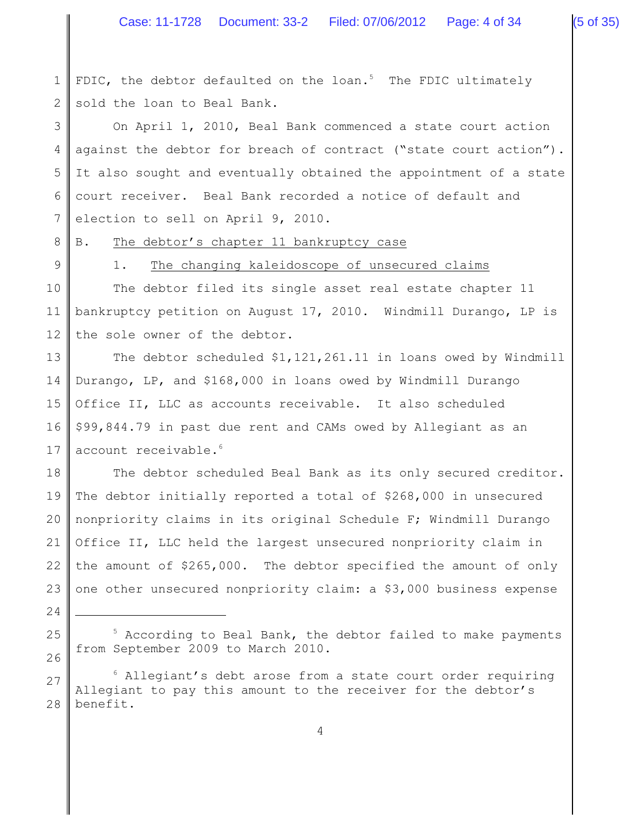1 2 FDIC, the debtor defaulted on the loan.<sup>5</sup> The FDIC ultimately sold the loan to Beal Bank.

3 4 5 6 7 On April 1, 2010, Beal Bank commenced a state court action against the debtor for breach of contract ("state court action"). It also sought and eventually obtained the appointment of a state court receiver. Beal Bank recorded a notice of default and election to sell on April 9, 2010.

8 B. The debtor's chapter 11 bankruptcy case

9

24

25

26

# 1. The changing kaleidoscope of unsecured claims

10 11 12 The debtor filed its single asset real estate chapter 11 bankruptcy petition on August 17, 2010. Windmill Durango, LP is the sole owner of the debtor.

13 14 15 16 17 The debtor scheduled \$1,121,261.11 in loans owed by Windmill Durango, LP, and \$168,000 in loans owed by Windmill Durango Office II, LLC as accounts receivable. It also scheduled \$99,844.79 in past due rent and CAMs owed by Allegiant as an account receivable.<sup>6</sup>

18 19 20 21 22 23 The debtor scheduled Beal Bank as its only secured creditor. The debtor initially reported a total of \$268,000 in unsecured nonpriority claims in its original Schedule F; Windmill Durango Office II, LLC held the largest unsecured nonpriority claim in the amount of \$265,000. The debtor specified the amount of only one other unsecured nonpriority claim: a \$3,000 business expense

 $5$  According to Beal Bank, the debtor failed to make payments from September 2009 to March 2010.

<sup>27</sup> 28  $6$  Allegiant's debt arose from a state court order requiring Allegiant to pay this amount to the receiver for the debtor's benefit.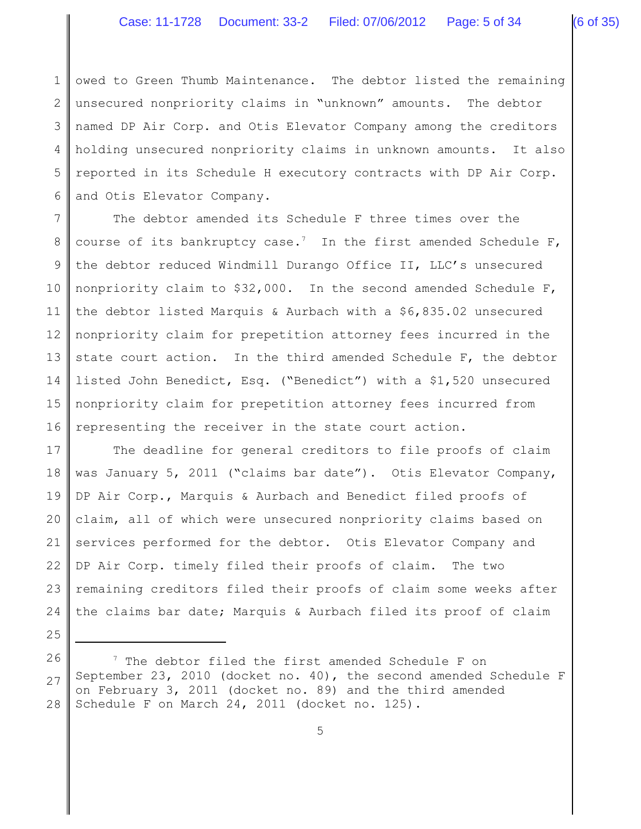1 2 3 4 5 6 owed to Green Thumb Maintenance. The debtor listed the remaining unsecured nonpriority claims in "unknown" amounts. The debtor named DP Air Corp. and Otis Elevator Company among the creditors holding unsecured nonpriority claims in unknown amounts. It also reported in its Schedule H executory contracts with DP Air Corp. and Otis Elevator Company.

7 8 9 10 11 12 13 14 15 16 The debtor amended its Schedule F three times over the course of its bankruptcy case.<sup>7</sup> In the first amended Schedule F, the debtor reduced Windmill Durango Office II, LLC's unsecured nonpriority claim to \$32,000. In the second amended Schedule F, the debtor listed Marquis & Aurbach with a \$6,835.02 unsecured nonpriority claim for prepetition attorney fees incurred in the state court action. In the third amended Schedule F, the debtor listed John Benedict, Esq. ("Benedict") with a \$1,520 unsecured nonpriority claim for prepetition attorney fees incurred from representing the receiver in the state court action.

17 18 19 20 21 22 23 24 The deadline for general creditors to file proofs of claim was January 5, 2011 ("claims bar date"). Otis Elevator Company, DP Air Corp., Marquis & Aurbach and Benedict filed proofs of claim, all of which were unsecured nonpriority claims based on services performed for the debtor. Otis Elevator Company and DP Air Corp. timely filed their proofs of claim. The two remaining creditors filed their proofs of claim some weeks after the claims bar date; Marquis & Aurbach filed its proof of claim

- 25
- 26
- 27

 $^7$  The debtor filed the first amended Schedule F on September 23, 2010 (docket no. 40), the second amended Schedule F on February 3, 2011 (docket no. 89) and the third amended Schedule F on March 24, 2011 (docket no. 125).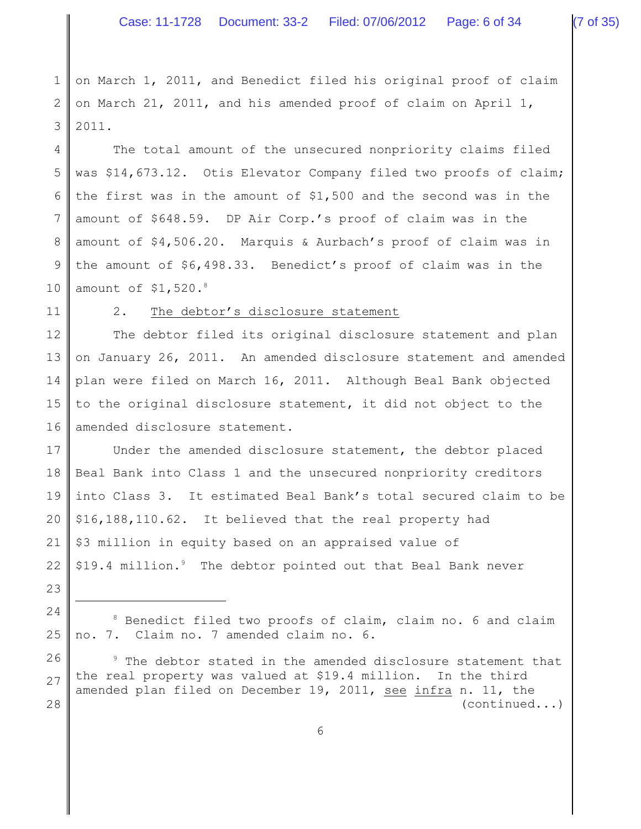1 2 3 on March 1, 2011, and Benedict filed his original proof of claim on March 21, 2011, and his amended proof of claim on April 1, 2011.

4 5 6 7 8 9 10 The total amount of the unsecured nonpriority claims filed was \$14,673.12. Otis Elevator Company filed two proofs of claim; the first was in the amount of \$1,500 and the second was in the amount of \$648.59. DP Air Corp.'s proof of claim was in the amount of \$4,506.20. Marquis & Aurbach's proof of claim was in the amount of \$6,498.33. Benedict's proof of claim was in the amount of  $$1,520.^8$ 

11

### 2. The debtor's disclosure statement

12 13 14 15 16 The debtor filed its original disclosure statement and plan on January 26, 2011. An amended disclosure statement and amended plan were filed on March 16, 2011. Although Beal Bank objected to the original disclosure statement, it did not object to the amended disclosure statement.

17 18 19 20 21 22 Under the amended disclosure statement, the debtor placed Beal Bank into Class 1 and the unsecured nonpriority creditors into Class 3. It estimated Beal Bank's total secured claim to be \$16,188,110.62. It believed that the real property had \$3 million in equity based on an appraised value of \$19.4 million. $9$  The debtor pointed out that Beal Bank never

23 24

25

26 27 28  $9$  The debtor stated in the amended disclosure statement that the real property was valued at \$19.4 million. In the third amended plan filed on December 19, 2011, see infra n. 11, the (continued...)

 $8$  Benedict filed two proofs of claim, claim no. 6 and claim no. 7. Claim no. 7 amended claim no. 6.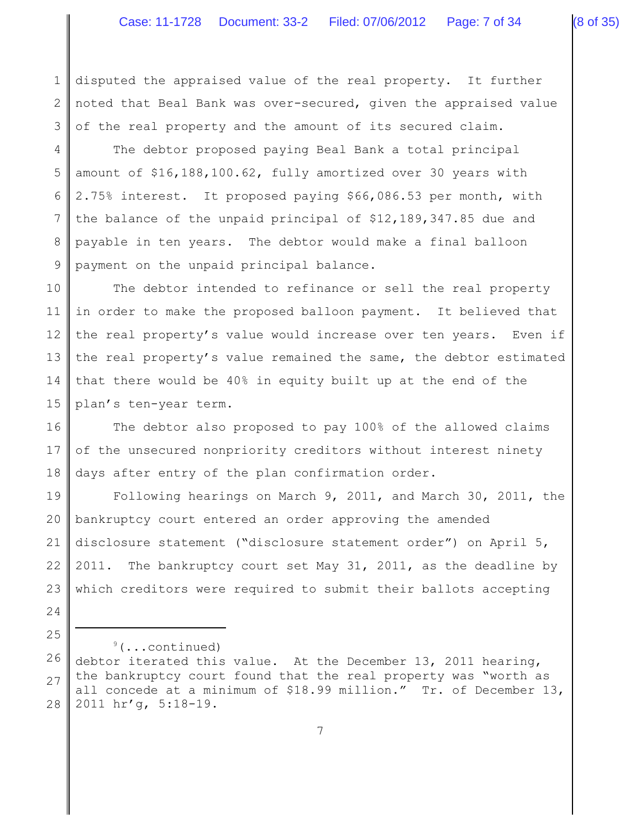1 2 3 disputed the appraised value of the real property. It further noted that Beal Bank was over-secured, given the appraised value of the real property and the amount of its secured claim.

4 5 6 7 8 9 The debtor proposed paying Beal Bank a total principal amount of \$16,188,100.62, fully amortized over 30 years with 2.75% interest. It proposed paying \$66,086.53 per month, with the balance of the unpaid principal of \$12,189,347.85 due and payable in ten years. The debtor would make a final balloon payment on the unpaid principal balance.

10 11 12 13 14 15 The debtor intended to refinance or sell the real property in order to make the proposed balloon payment. It believed that the real property's value would increase over ten years. Even if the real property's value remained the same, the debtor estimated that there would be 40% in equity built up at the end of the plan's ten-year term.

16 17 18 The debtor also proposed to pay 100% of the allowed claims of the unsecured nonpriority creditors without interest ninety days after entry of the plan confirmation order.

19 20 21 22 23 24 Following hearings on March 9, 2011, and March 30, 2011, the bankruptcy court entered an order approving the amended disclosure statement ("disclosure statement order") on April 5, 2011. The bankruptcy court set May 31, 2011, as the deadline by which creditors were required to submit their ballots accepting

 $9$ (...continued)

25

<sup>26</sup> 27 28 debtor iterated this value. At the December 13, 2011 hearing, the bankruptcy court found that the real property was "worth as all concede at a minimum of \$18.99 million." Tr. of December 13, 2011 hr'g, 5:18-19.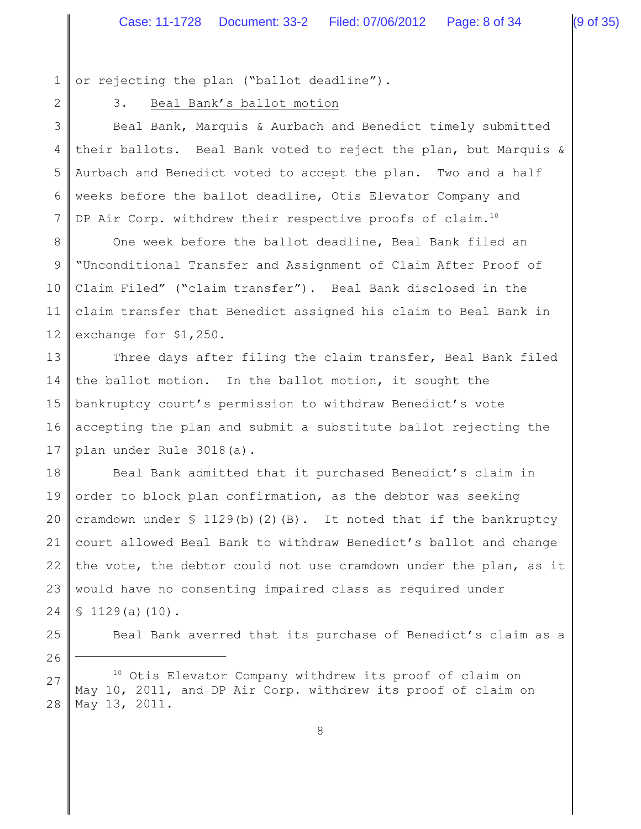1 or rejecting the plan ("ballot deadline").

2

# 3. Beal Bank's ballot motion

3 4 5 6 7 Beal Bank, Marquis & Aurbach and Benedict timely submitted their ballots. Beal Bank voted to reject the plan, but Marquis & Aurbach and Benedict voted to accept the plan. Two and a half weeks before the ballot deadline, Otis Elevator Company and DP Air Corp. withdrew their respective proofs of claim.<sup>10</sup>

8 9 10 11 12 One week before the ballot deadline, Beal Bank filed an "Unconditional Transfer and Assignment of Claim After Proof of Claim Filed" ("claim transfer"). Beal Bank disclosed in the claim transfer that Benedict assigned his claim to Beal Bank in exchange for \$1,250.

13 14 15 16 17 Three days after filing the claim transfer, Beal Bank filed the ballot motion. In the ballot motion, it sought the bankruptcy court's permission to withdraw Benedict's vote accepting the plan and submit a substitute ballot rejecting the plan under Rule 3018(a).

18 19 20 21 22 23 24 Beal Bank admitted that it purchased Benedict's claim in order to block plan confirmation, as the debtor was seeking cramdown under  $\S$  1129(b)(2)(B). It noted that if the bankruptcy court allowed Beal Bank to withdraw Benedict's ballot and change the vote, the debtor could not use cramdown under the plan, as it would have no consenting impaired class as required under  $$1129(a)(10).$ 

26

25

Beal Bank averred that its purchase of Benedict's claim as a

27 28  $10$  Otis Elevator Company withdrew its proof of claim on May 10, 2011, and DP Air Corp. withdrew its proof of claim on May 13, 2011.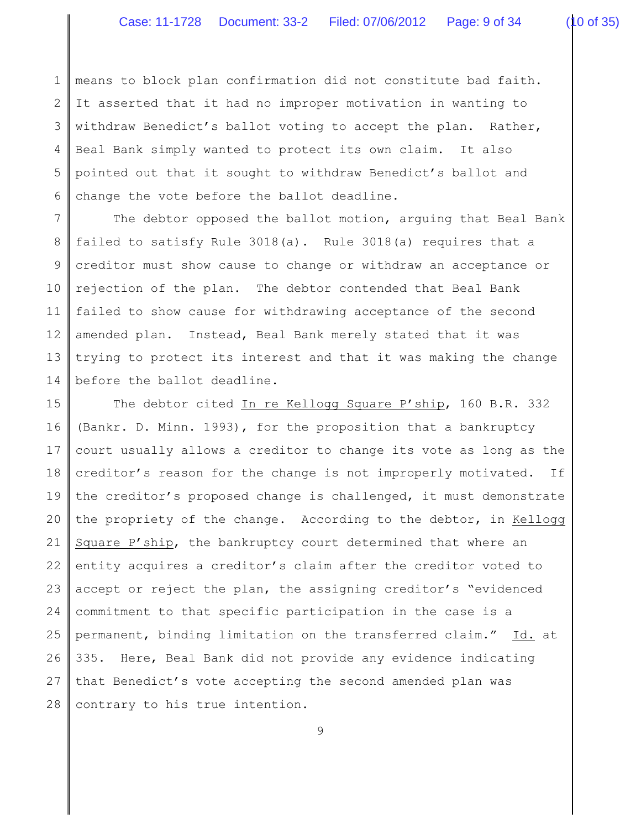1 2 3 4 5 6 means to block plan confirmation did not constitute bad faith. It asserted that it had no improper motivation in wanting to withdraw Benedict's ballot voting to accept the plan. Rather, Beal Bank simply wanted to protect its own claim. It also pointed out that it sought to withdraw Benedict's ballot and change the vote before the ballot deadline.

7 8 9 10 11 12 13 14 The debtor opposed the ballot motion, arguing that Beal Bank failed to satisfy Rule 3018(a). Rule 3018(a) requires that a creditor must show cause to change or withdraw an acceptance or rejection of the plan. The debtor contended that Beal Bank failed to show cause for withdrawing acceptance of the second amended plan. Instead, Beal Bank merely stated that it was trying to protect its interest and that it was making the change before the ballot deadline.

15 16 17 18 19 20 21 22 23 24 25 26 27 28 The debtor cited In re Kellogg Square P'ship, 160 B.R. 332 (Bankr. D. Minn. 1993), for the proposition that a bankruptcy court usually allows a creditor to change its vote as long as the creditor's reason for the change is not improperly motivated. If the creditor's proposed change is challenged, it must demonstrate the propriety of the change. According to the debtor, in Kellogg Square P'ship, the bankruptcy court determined that where an entity acquires a creditor's claim after the creditor voted to accept or reject the plan, the assigning creditor's "evidenced commitment to that specific participation in the case is a permanent, binding limitation on the transferred claim." Id. at 335. Here, Beal Bank did not provide any evidence indicating that Benedict's vote accepting the second amended plan was contrary to his true intention.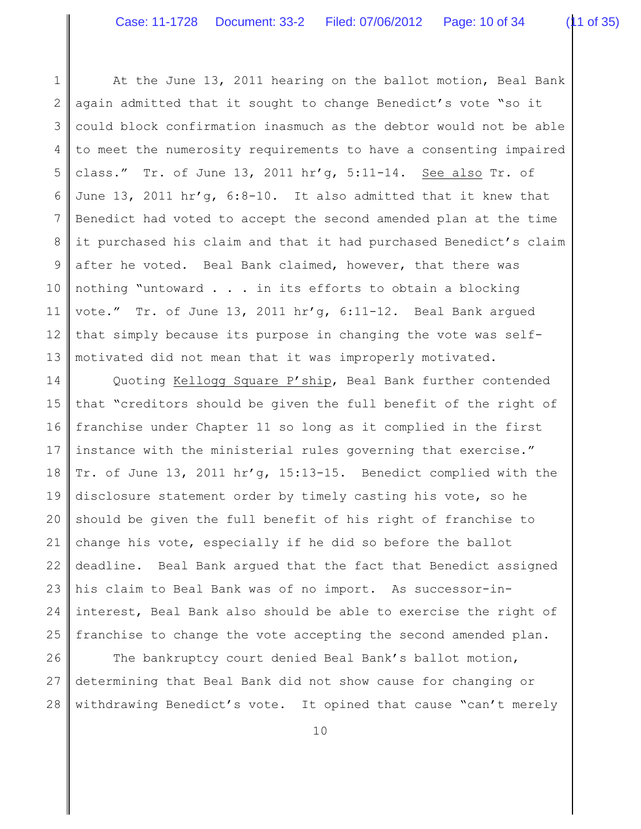1 2 3 4 5 6 7 8 9 10 11 12 13 At the June 13, 2011 hearing on the ballot motion, Beal Bank again admitted that it sought to change Benedict's vote "so it could block confirmation inasmuch as the debtor would not be able to meet the numerosity requirements to have a consenting impaired class." Tr. of June 13, 2011 hr'g, 5:11-14. See also Tr. of June 13, 2011 hr'g, 6:8-10. It also admitted that it knew that Benedict had voted to accept the second amended plan at the time it purchased his claim and that it had purchased Benedict's claim after he voted. Beal Bank claimed, however, that there was nothing "untoward . . . in its efforts to obtain a blocking vote." Tr. of June 13, 2011 hr'g, 6:11-12. Beal Bank argued that simply because its purpose in changing the vote was selfmotivated did not mean that it was improperly motivated.

14 15 16 17 18 19 20 21 22 23 24 25 Quoting Kellogg Square P'ship, Beal Bank further contended that "creditors should be given the full benefit of the right of franchise under Chapter 11 so long as it complied in the first instance with the ministerial rules governing that exercise." Tr. of June 13, 2011 hr'g, 15:13-15. Benedict complied with the disclosure statement order by timely casting his vote, so he should be given the full benefit of his right of franchise to change his vote, especially if he did so before the ballot deadline. Beal Bank argued that the fact that Benedict assigned his claim to Beal Bank was of no import. As successor-ininterest, Beal Bank also should be able to exercise the right of franchise to change the vote accepting the second amended plan.

26 27 28 The bankruptcy court denied Beal Bank's ballot motion, determining that Beal Bank did not show cause for changing or withdrawing Benedict's vote. It opined that cause "can't merely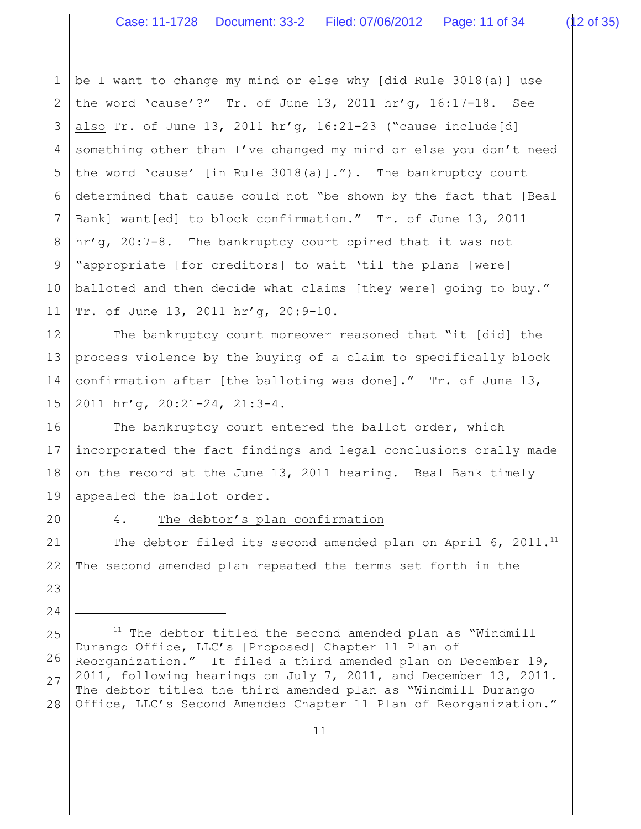1 2 3 4 5 6 7 8 9 10 11 be I want to change my mind or else why [did Rule 3018(a)] use the word 'cause'?" Tr. of June 13, 2011 hr'g, 16:17-18. See also Tr. of June 13, 2011 hr'g, 16:21-23 ("cause include[d] something other than I've changed my mind or else you don't need the word 'cause' [in Rule 3018(a)]."). The bankruptcy court determined that cause could not "be shown by the fact that [Beal Bank] want[ed] to block confirmation." Tr. of June 13, 2011 hr'g, 20:7-8. The bankruptcy court opined that it was not "appropriate [for creditors] to wait 'til the plans [were] balloted and then decide what claims [they were] going to buy." Tr. of June 13, 2011 hr'g, 20:9-10.

12 13 14 15 The bankruptcy court moreover reasoned that "it [did] the process violence by the buying of a claim to specifically block confirmation after [the balloting was done]." Tr. of June 13, 2011 hr'g, 20:21-24, 21:3-4.

16 17 18 19 The bankruptcy court entered the ballot order, which incorporated the fact findings and legal conclusions orally made on the record at the June 13, 2011 hearing. Beal Bank timely appealed the ballot order.

20

23

24

## 4. The debtor's plan confirmation

21 22 The debtor filed its second amended plan on April  $6, 2011.^{11}$ The second amended plan repeated the terms set forth in the

25 26 27 28  $11$  The debtor titled the second amended plan as "Windmill Durango Office, LLC's [Proposed] Chapter 11 Plan of Reorganization." It filed a third amended plan on December 19, 2011, following hearings on July 7, 2011, and December 13, 2011. The debtor titled the third amended plan as "Windmill Durango Office, LLC's Second Amended Chapter 11 Plan of Reorganization."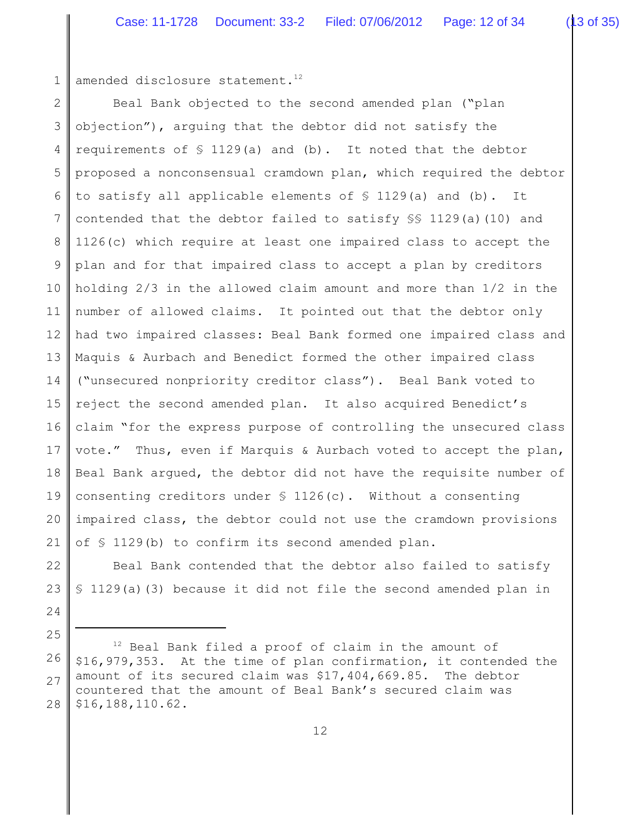1 amended disclosure statement.<sup>12</sup>

24

25

2 3 4 5 6 7 8 9 10 11 12 13 14 15 16 17 18 19 20 21 Beal Bank objected to the second amended plan ("plan objection"), arguing that the debtor did not satisfy the requirements of  $\frac{129}{a}$  and (b). It noted that the debtor proposed a nonconsensual cramdown plan, which required the debtor to satisfy all applicable elements of  $\frac{129}{a}$  and (b). It contended that the debtor failed to satisfy §§ 1129(a)(10) and 1126(c) which require at least one impaired class to accept the plan and for that impaired class to accept a plan by creditors holding 2/3 in the allowed claim amount and more than 1/2 in the number of allowed claims. It pointed out that the debtor only had two impaired classes: Beal Bank formed one impaired class and Maquis & Aurbach and Benedict formed the other impaired class ("unsecured nonpriority creditor class"). Beal Bank voted to reject the second amended plan. It also acquired Benedict's claim "for the express purpose of controlling the unsecured class vote." Thus, even if Marquis & Aurbach voted to accept the plan, Beal Bank argued, the debtor did not have the requisite number of consenting creditors under  $\S$  1126(c). Without a consenting impaired class, the debtor could not use the cramdown provisions of § 1129(b) to confirm its second amended plan.

22 23 Beal Bank contended that the debtor also failed to satisfy § 1129(a)(3) because it did not file the second amended plan in

<sup>26</sup> 27 28  $12$  Beal Bank filed a proof of claim in the amount of \$16,979,353. At the time of plan confirmation, it contended the amount of its secured claim was \$17,404,669.85. The debtor countered that the amount of Beal Bank's secured claim was \$16,188,110.62.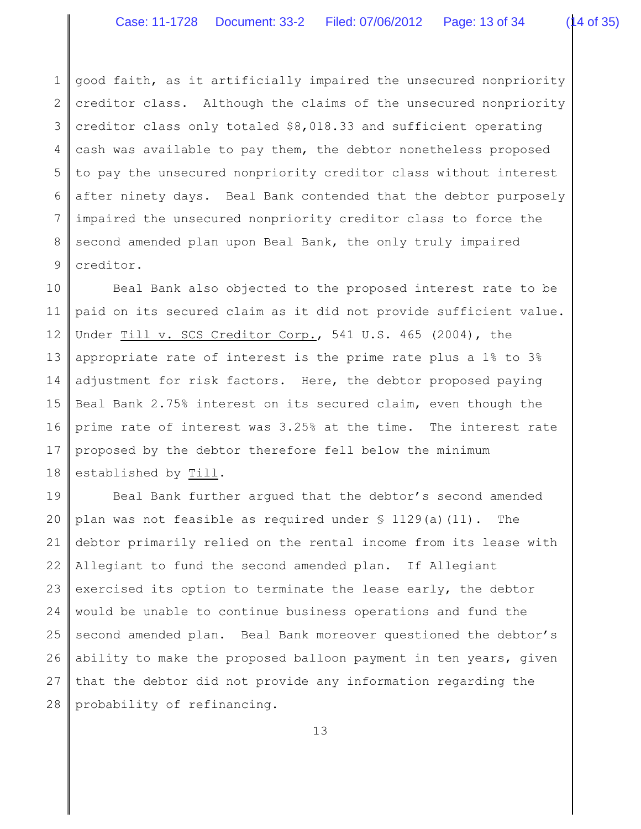1 2 3 4 5 6 7 8 9 good faith, as it artificially impaired the unsecured nonpriority creditor class. Although the claims of the unsecured nonpriority creditor class only totaled \$8,018.33 and sufficient operating cash was available to pay them, the debtor nonetheless proposed to pay the unsecured nonpriority creditor class without interest after ninety days. Beal Bank contended that the debtor purposely impaired the unsecured nonpriority creditor class to force the second amended plan upon Beal Bank, the only truly impaired creditor.

10 11 12 13 14 15 16 17 18 Beal Bank also objected to the proposed interest rate to be paid on its secured claim as it did not provide sufficient value. Under Till v. SCS Creditor Corp., 541 U.S. 465 (2004), the appropriate rate of interest is the prime rate plus a 1% to 3% adjustment for risk factors. Here, the debtor proposed paying Beal Bank 2.75% interest on its secured claim, even though the prime rate of interest was 3.25% at the time. The interest rate proposed by the debtor therefore fell below the minimum established by Till.

19 20 21 22 23 24 25 26 27 28 Beal Bank further argued that the debtor's second amended plan was not feasible as required under  $\S$  1129(a)(11). The debtor primarily relied on the rental income from its lease with Allegiant to fund the second amended plan. If Allegiant exercised its option to terminate the lease early, the debtor would be unable to continue business operations and fund the second amended plan. Beal Bank moreover questioned the debtor's ability to make the proposed balloon payment in ten years, given that the debtor did not provide any information regarding the probability of refinancing.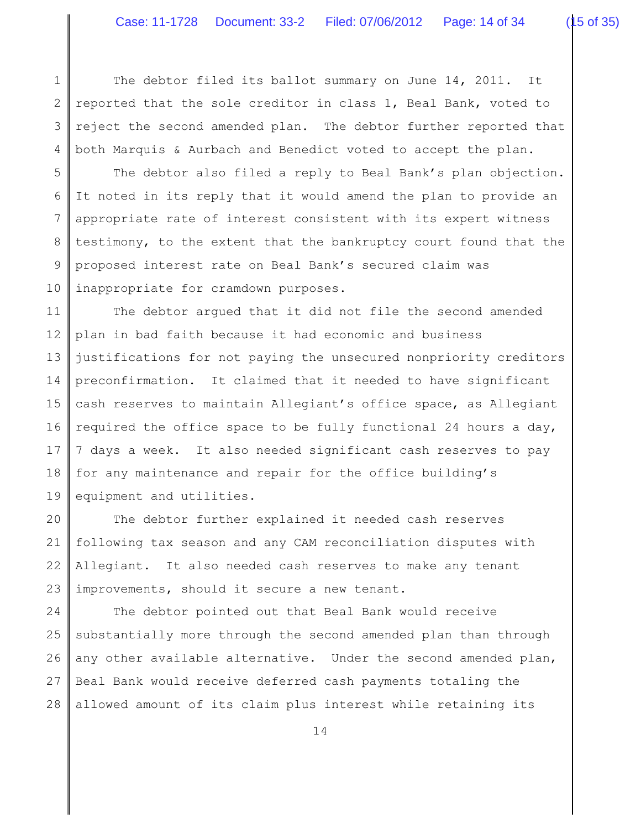1 2 3 4 The debtor filed its ballot summary on June 14, 2011. It reported that the sole creditor in class 1, Beal Bank, voted to reject the second amended plan. The debtor further reported that both Marquis & Aurbach and Benedict voted to accept the plan.

5 6 7 8 9 10 The debtor also filed a reply to Beal Bank's plan objection. It noted in its reply that it would amend the plan to provide an appropriate rate of interest consistent with its expert witness testimony, to the extent that the bankruptcy court found that the proposed interest rate on Beal Bank's secured claim was inappropriate for cramdown purposes.

11 12 13 14 15 16 17 18 19 The debtor argued that it did not file the second amended plan in bad faith because it had economic and business justifications for not paying the unsecured nonpriority creditors preconfirmation. It claimed that it needed to have significant cash reserves to maintain Allegiant's office space, as Allegiant required the office space to be fully functional 24 hours a day, 7 days a week. It also needed significant cash reserves to pay for any maintenance and repair for the office building's equipment and utilities.

20 21 22 23 The debtor further explained it needed cash reserves following tax season and any CAM reconciliation disputes with Allegiant. It also needed cash reserves to make any tenant improvements, should it secure a new tenant.

24 25 26 27 28 The debtor pointed out that Beal Bank would receive substantially more through the second amended plan than through any other available alternative. Under the second amended plan, Beal Bank would receive deferred cash payments totaling the allowed amount of its claim plus interest while retaining its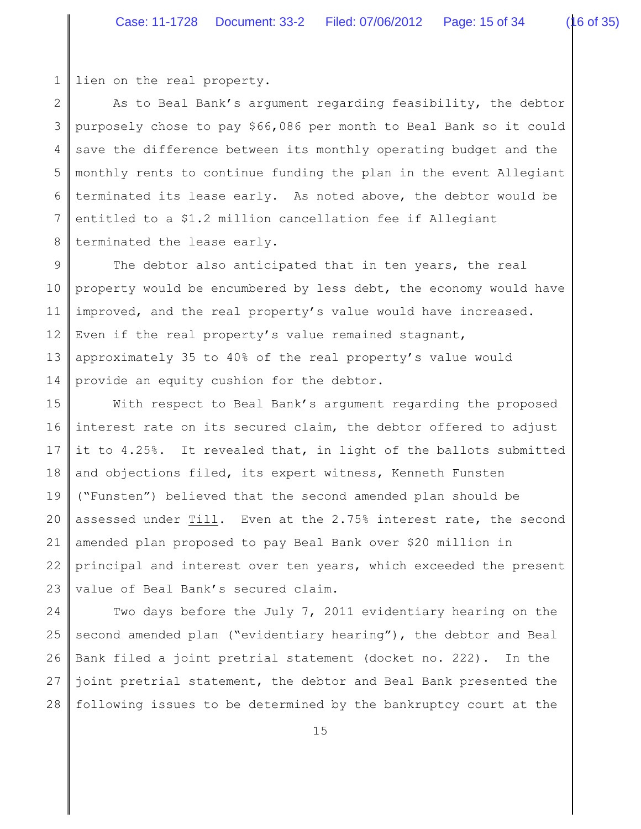1 lien on the real property.

2 3 4 5 6 7 8 As to Beal Bank's argument regarding feasibility, the debtor purposely chose to pay \$66,086 per month to Beal Bank so it could save the difference between its monthly operating budget and the monthly rents to continue funding the plan in the event Allegiant terminated its lease early. As noted above, the debtor would be entitled to a \$1.2 million cancellation fee if Allegiant terminated the lease early.

9 10 11 12 13 14 The debtor also anticipated that in ten years, the real property would be encumbered by less debt, the economy would have improved, and the real property's value would have increased. Even if the real property's value remained stagnant, approximately 35 to 40% of the real property's value would provide an equity cushion for the debtor.

15 16 17 18 19 20 21 22 23 With respect to Beal Bank's argument regarding the proposed interest rate on its secured claim, the debtor offered to adjust it to 4.25%. It revealed that, in light of the ballots submitted and objections filed, its expert witness, Kenneth Funsten ("Funsten") believed that the second amended plan should be assessed under Till. Even at the 2.75% interest rate, the second amended plan proposed to pay Beal Bank over \$20 million in principal and interest over ten years, which exceeded the present value of Beal Bank's secured claim.

24 25 26 27 28 Two days before the July 7, 2011 evidentiary hearing on the second amended plan ("evidentiary hearing"), the debtor and Beal Bank filed a joint pretrial statement (docket no. 222). In the joint pretrial statement, the debtor and Beal Bank presented the following issues to be determined by the bankruptcy court at the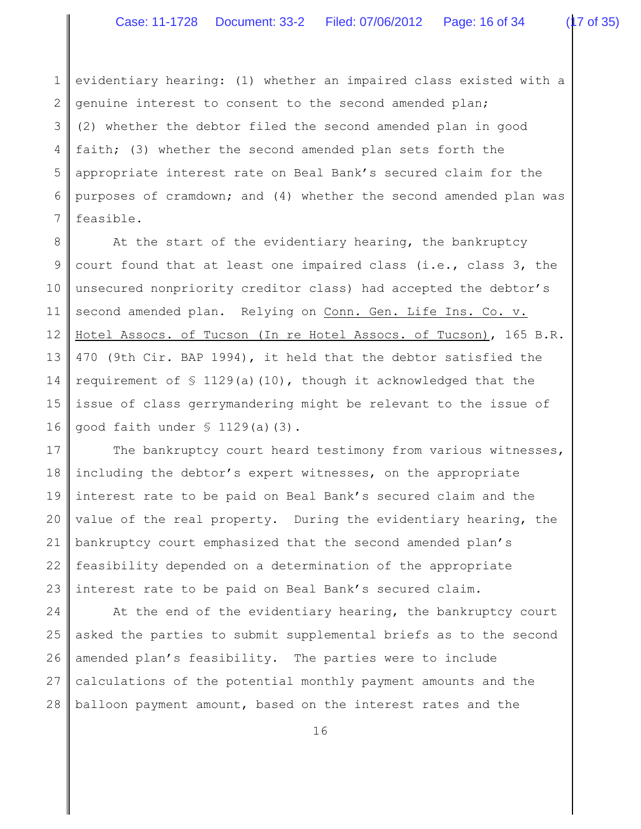1 2 3 4 5 6 7 evidentiary hearing: (1) whether an impaired class existed with a genuine interest to consent to the second amended plan; (2) whether the debtor filed the second amended plan in good faith; (3) whether the second amended plan sets forth the appropriate interest rate on Beal Bank's secured claim for the purposes of cramdown; and (4) whether the second amended plan was feasible.

8 9 10 11 12 13 14 15 16 At the start of the evidentiary hearing, the bankruptcy court found that at least one impaired class (i.e., class 3, the unsecured nonpriority creditor class) had accepted the debtor's second amended plan. Relying on Conn. Gen. Life Ins. Co. v. Hotel Assocs. of Tucson (In re Hotel Assocs. of Tucson), 165 B.R. 470 (9th Cir. BAP 1994), it held that the debtor satisfied the requirement of  $\frac{129}{a}$ (a)(10), though it acknowledged that the issue of class gerrymandering might be relevant to the issue of good faith under § 1129(a)(3).

17 18 19 20 21 22 23 The bankruptcy court heard testimony from various witnesses, including the debtor's expert witnesses, on the appropriate interest rate to be paid on Beal Bank's secured claim and the value of the real property. During the evidentiary hearing, the bankruptcy court emphasized that the second amended plan's feasibility depended on a determination of the appropriate interest rate to be paid on Beal Bank's secured claim.

24 25 26 27 28 At the end of the evidentiary hearing, the bankruptcy court asked the parties to submit supplemental briefs as to the second amended plan's feasibility. The parties were to include calculations of the potential monthly payment amounts and the balloon payment amount, based on the interest rates and the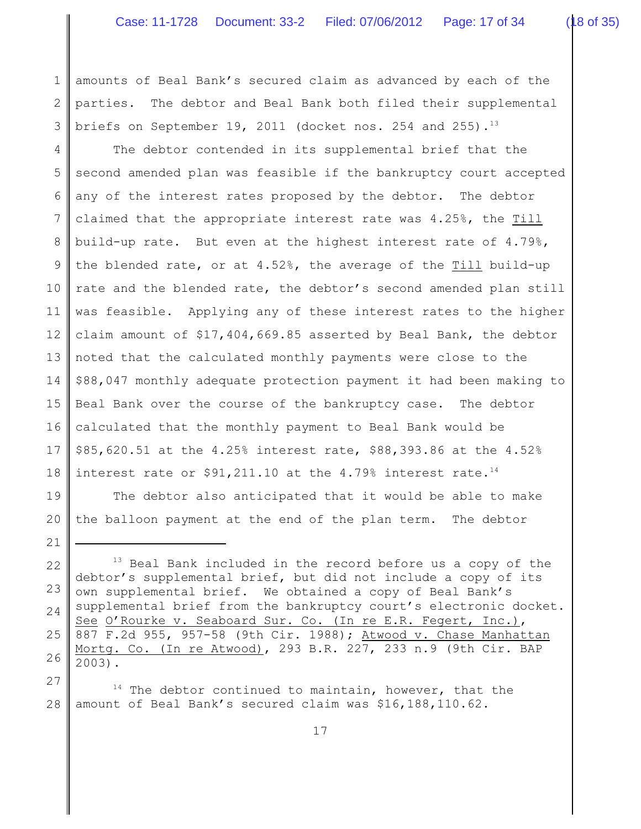1 2 3 amounts of Beal Bank's secured claim as advanced by each of the parties. The debtor and Beal Bank both filed their supplemental briefs on September 19, 2011 (docket nos. 254 and 255).<sup>13</sup>

4 5 6 7 8 9 10 11 12 13 14 15 16 17 18 The debtor contended in its supplemental brief that the second amended plan was feasible if the bankruptcy court accepted any of the interest rates proposed by the debtor. The debtor claimed that the appropriate interest rate was 4.25%, the Till build-up rate. But even at the highest interest rate of 4.79%, the blended rate, or at 4.52%, the average of the Till build-up rate and the blended rate, the debtor's second amended plan still was feasible. Applying any of these interest rates to the higher claim amount of \$17,404,669.85 asserted by Beal Bank, the debtor noted that the calculated monthly payments were close to the \$88,047 monthly adequate protection payment it had been making to Beal Bank over the course of the bankruptcy case. The debtor calculated that the monthly payment to Beal Bank would be \$85,620.51 at the 4.25% interest rate, \$88,393.86 at the 4.52% interest rate or  $$91,211.10$  at the 4.79% interest rate.<sup>14</sup>

19 20 The debtor also anticipated that it would be able to make the balloon payment at the end of the plan term. The debtor

<sup>22</sup> 23 24 25 26  $13$  Beal Bank included in the record before us a copy of the debtor's supplemental brief, but did not include a copy of its own supplemental brief. We obtained a copy of Beal Bank's supplemental brief from the bankruptcy court's electronic docket. See O'Rourke v. Seaboard Sur. Co. (In re E.R. Fegert, Inc.), 887 F.2d 955, 957-58 (9th Cir. 1988); Atwood v. Chase Manhattan Mortg. Co. (In re Atwood), 293 B.R. 227, 233 n.9 (9th Cir. BAP 2003).

<sup>27</sup> 28  $14$  The debtor continued to maintain, however, that the amount of Beal Bank's secured claim was \$16,188,110.62.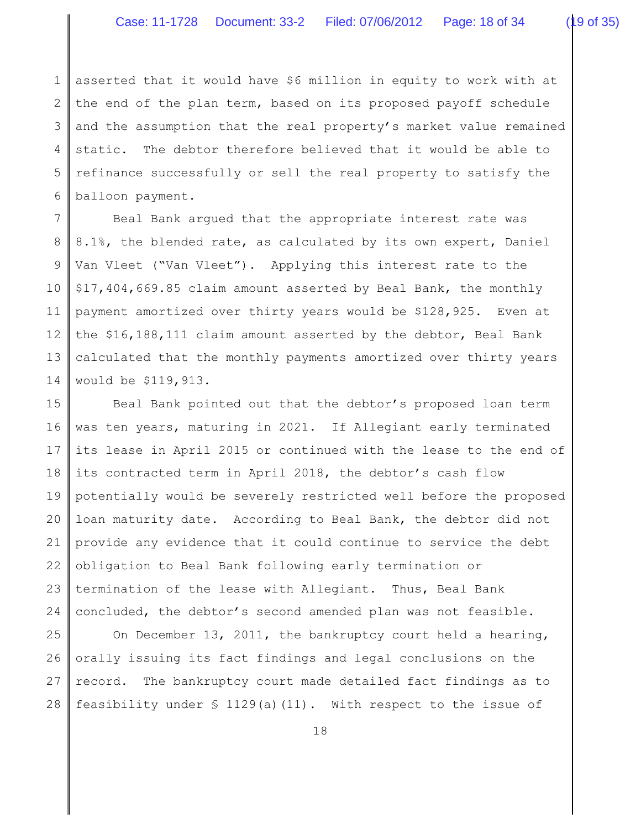1 2 3 4 5 6 asserted that it would have \$6 million in equity to work with at the end of the plan term, based on its proposed payoff schedule and the assumption that the real property's market value remained static. The debtor therefore believed that it would be able to refinance successfully or sell the real property to satisfy the balloon payment.

7 8 9 10 11 12 13 14 Beal Bank argued that the appropriate interest rate was 8.1%, the blended rate, as calculated by its own expert, Daniel Van Vleet ("Van Vleet"). Applying this interest rate to the \$17,404,669.85 claim amount asserted by Beal Bank, the monthly payment amortized over thirty years would be \$128,925. Even at the \$16,188,111 claim amount asserted by the debtor, Beal Bank calculated that the monthly payments amortized over thirty years would be \$119,913.

15 16 17 18 19 20 21 22 23 24 Beal Bank pointed out that the debtor's proposed loan term was ten years, maturing in 2021. If Allegiant early terminated its lease in April 2015 or continued with the lease to the end of its contracted term in April 2018, the debtor's cash flow potentially would be severely restricted well before the proposed loan maturity date. According to Beal Bank, the debtor did not provide any evidence that it could continue to service the debt obligation to Beal Bank following early termination or termination of the lease with Allegiant. Thus, Beal Bank concluded, the debtor's second amended plan was not feasible.

25 26 27 28 On December 13, 2011, the bankruptcy court held a hearing, orally issuing its fact findings and legal conclusions on the record. The bankruptcy court made detailed fact findings as to feasibility under § 1129(a)(11). With respect to the issue of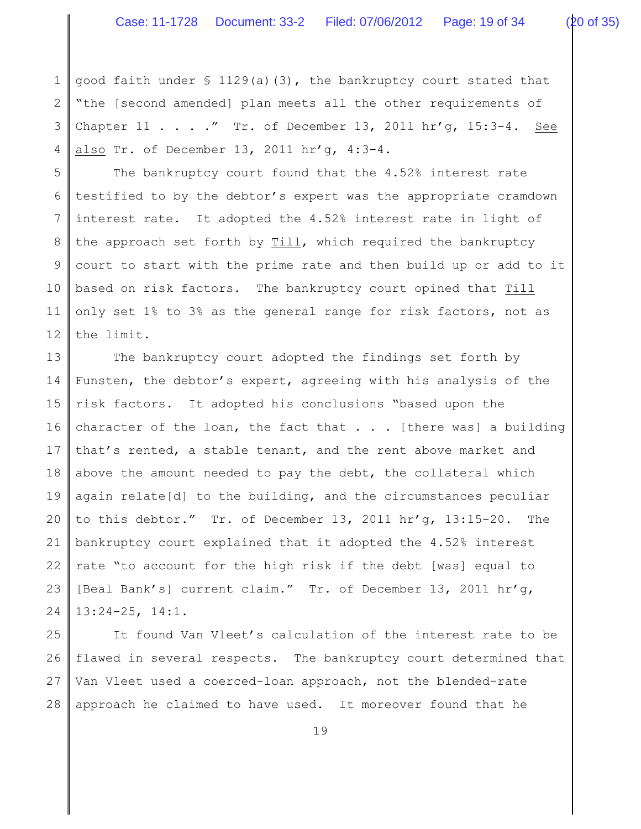1 2 3 4 good faith under  $\frac{129}{a}(3)$ , the bankruptcy court stated that "the [second amended] plan meets all the other requirements of Chapter  $11$  . . . ." Tr. of December 13, 2011 hr'g, 15:3-4. See also Tr. of December 13, 2011 hr'g, 4:3-4.

5 6 7 8 9 10 11 12 The bankruptcy court found that the 4.52% interest rate testified to by the debtor's expert was the appropriate cramdown interest rate. It adopted the 4.52% interest rate in light of the approach set forth by Till, which required the bankruptcy court to start with the prime rate and then build up or add to it based on risk factors. The bankruptcy court opined that Till only set 1% to 3% as the general range for risk factors, not as the limit.

13 14 15 16 17 18 19 20 21 22 23 24 The bankruptcy court adopted the findings set forth by Funsten, the debtor's expert, agreeing with his analysis of the risk factors. It adopted his conclusions "based upon the character of the loan, the fact that  $\ldots$  [there was] a building that's rented, a stable tenant, and the rent above market and above the amount needed to pay the debt, the collateral which again relate[d] to the building, and the circumstances peculiar to this debtor." Tr. of December 13, 2011 hr'g, 13:15-20. The bankruptcy court explained that it adopted the 4.52% interest rate "to account for the high risk if the debt [was] equal to [Beal Bank's] current claim." Tr. of December 13, 2011 hr'g, 13:24-25, 14:1.

25 26 27 28 It found Van Vleet's calculation of the interest rate to be flawed in several respects. The bankruptcy court determined that Van Vleet used a coerced-loan approach, not the blended-rate approach he claimed to have used. It moreover found that he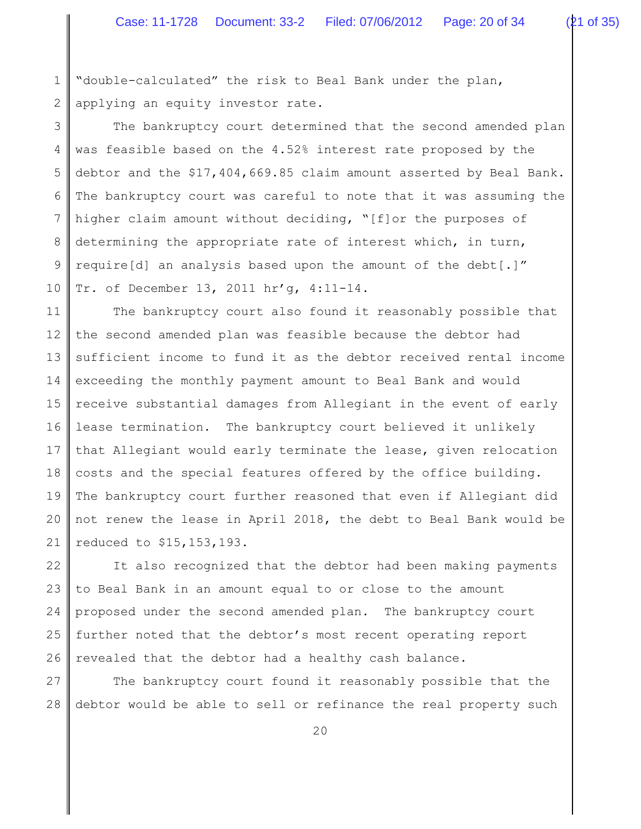1 2 "double-calculated" the risk to Beal Bank under the plan, applying an equity investor rate.

3 4 5 6 7 8 9 10 The bankruptcy court determined that the second amended plan was feasible based on the 4.52% interest rate proposed by the debtor and the \$17,404,669.85 claim amount asserted by Beal Bank. The bankruptcy court was careful to note that it was assuming the higher claim amount without deciding, "[f]or the purposes of determining the appropriate rate of interest which, in turn, require[d] an analysis based upon the amount of the debt[.]" Tr. of December 13, 2011 hr'g, 4:11-14.

11 12 13 14 15 16 17 18 19 20 21 The bankruptcy court also found it reasonably possible that the second amended plan was feasible because the debtor had sufficient income to fund it as the debtor received rental income exceeding the monthly payment amount to Beal Bank and would receive substantial damages from Allegiant in the event of early lease termination. The bankruptcy court believed it unlikely that Allegiant would early terminate the lease, given relocation costs and the special features offered by the office building. The bankruptcy court further reasoned that even if Allegiant did not renew the lease in April 2018, the debt to Beal Bank would be reduced to \$15,153,193.

22 23 24 25 26 It also recognized that the debtor had been making payments to Beal Bank in an amount equal to or close to the amount proposed under the second amended plan. The bankruptcy court further noted that the debtor's most recent operating report revealed that the debtor had a healthy cash balance.

27 28 The bankruptcy court found it reasonably possible that the debtor would be able to sell or refinance the real property such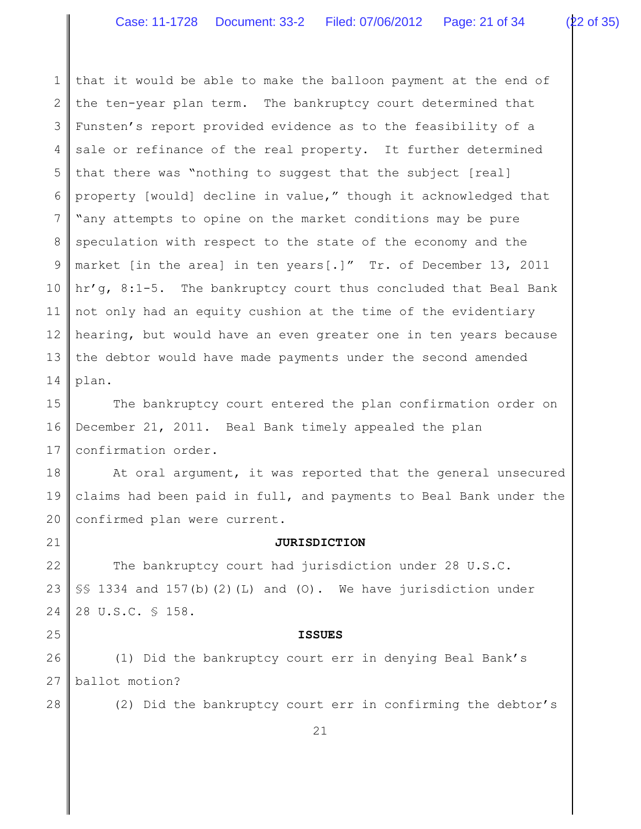1 2 3 4 5 6 7 8 9 10 11 12 13 14 that it would be able to make the balloon payment at the end of the ten-year plan term. The bankruptcy court determined that Funsten's report provided evidence as to the feasibility of a sale or refinance of the real property. It further determined that there was "nothing to suggest that the subject [real] property [would] decline in value," though it acknowledged that "any attempts to opine on the market conditions may be pure speculation with respect to the state of the economy and the market [in the area] in ten years[.]" Tr. of December 13, 2011 hr'g, 8:1-5. The bankruptcy court thus concluded that Beal Bank not only had an equity cushion at the time of the evidentiary hearing, but would have an even greater one in ten years because the debtor would have made payments under the second amended plan.

15 16 17 The bankruptcy court entered the plan confirmation order on December 21, 2011. Beal Bank timely appealed the plan confirmation order.

18 19 20 At oral argument, it was reported that the general unsecured claims had been paid in full, and payments to Beal Bank under the confirmed plan were current.

21

#### **JURISDICTION**

22 23 24 The bankruptcy court had jurisdiction under 28 U.S.C. §§ 1334 and 157(b)(2)(L) and (O). We have jurisdiction under 28 U.S.C. § 158.

#### **ISSUES**

26 27 (1) Did the bankruptcy court err in denying Beal Bank's ballot motion?

28

25

(2) Did the bankruptcy court err in confirming the debtor's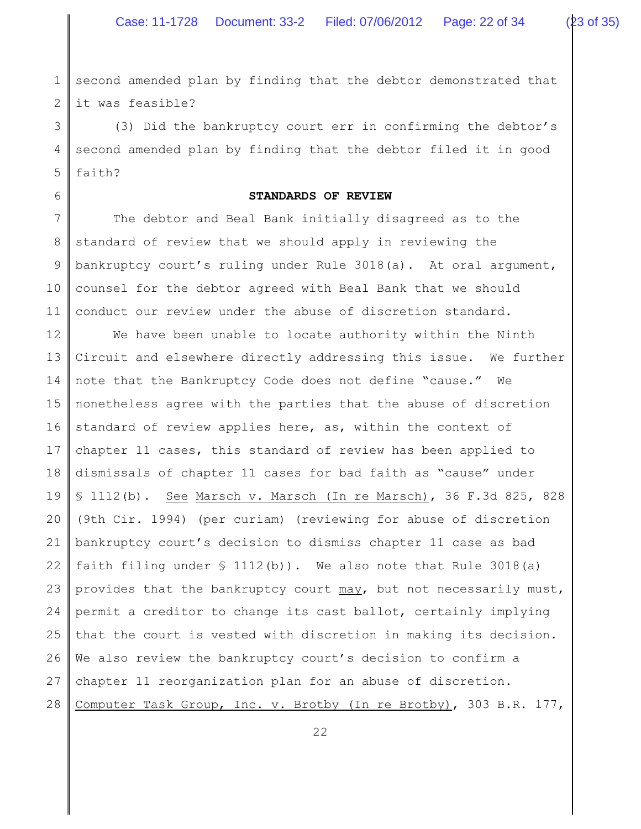1 2 second amended plan by finding that the debtor demonstrated that it was feasible?

3 4 5 (3) Did the bankruptcy court err in confirming the debtor's second amended plan by finding that the debtor filed it in good faith?

6

# **STANDARDS OF REVIEW**

7 8 9 10 11 The debtor and Beal Bank initially disagreed as to the standard of review that we should apply in reviewing the bankruptcy court's ruling under Rule 3018(a). At oral argument, counsel for the debtor agreed with Beal Bank that we should conduct our review under the abuse of discretion standard.

12 13 14 15 16 17 18 19 20 21 22 23 24 25 26 27 28 We have been unable to locate authority within the Ninth Circuit and elsewhere directly addressing this issue. We further note that the Bankruptcy Code does not define "cause." We nonetheless agree with the parties that the abuse of discretion standard of review applies here, as, within the context of chapter 11 cases, this standard of review has been applied to dismissals of chapter 11 cases for bad faith as "cause" under § 1112(b). See Marsch v. Marsch (In re Marsch), 36 F.3d 825, 828 (9th Cir. 1994) (per curiam) (reviewing for abuse of discretion bankruptcy court's decision to dismiss chapter 11 case as bad faith filing under  $\S$  1112(b)). We also note that Rule 3018(a) provides that the bankruptcy court may, but not necessarily must, permit a creditor to change its cast ballot, certainly implying that the court is vested with discretion in making its decision. We also review the bankruptcy court's decision to confirm a chapter 11 reorganization plan for an abuse of discretion. Computer Task Group, Inc. v. Brotby (In re Brotby), 303 B.R. 177,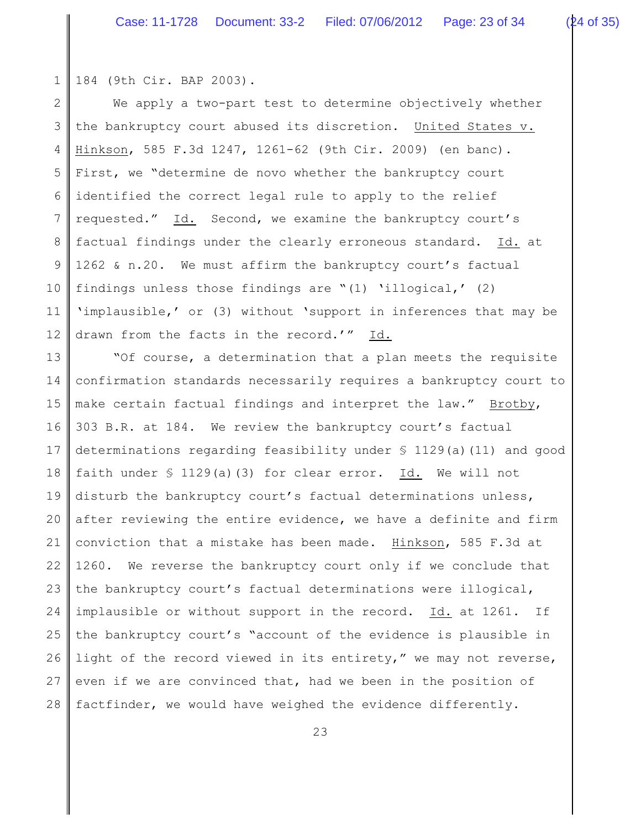1 184 (9th Cir. BAP 2003).

2 3 4 5 6 7 8 9 10 11 12 We apply a two-part test to determine objectively whether the bankruptcy court abused its discretion. United States v. Hinkson, 585 F.3d 1247, 1261-62 (9th Cir. 2009) (en banc). First, we "determine de novo whether the bankruptcy court identified the correct legal rule to apply to the relief requested." Id. Second, we examine the bankruptcy court's factual findings under the clearly erroneous standard. Id. at 1262 & n.20. We must affirm the bankruptcy court's factual findings unless those findings are "(1) 'illogical,' (2) 'implausible,' or (3) without 'support in inferences that may be drawn from the facts in the record.'" Id.

13 14 15 16 17 18 19 20 21 22 23 24 25 26 27 28 "Of course, a determination that a plan meets the requisite confirmation standards necessarily requires a bankruptcy court to make certain factual findings and interpret the law." Brotby, 303 B.R. at 184. We review the bankruptcy court's factual determinations regarding feasibility under  $\S$  1129(a)(11) and good faith under  $\frac{129(a)}{3}$  for clear error. Id. We will not disturb the bankruptcy court's factual determinations unless, after reviewing the entire evidence, we have a definite and firm conviction that a mistake has been made. Hinkson, 585 F.3d at 1260. We reverse the bankruptcy court only if we conclude that the bankruptcy court's factual determinations were illogical, implausible or without support in the record. Id. at 1261. If the bankruptcy court's "account of the evidence is plausible in light of the record viewed in its entirety," we may not reverse, even if we are convinced that, had we been in the position of factfinder, we would have weighed the evidence differently.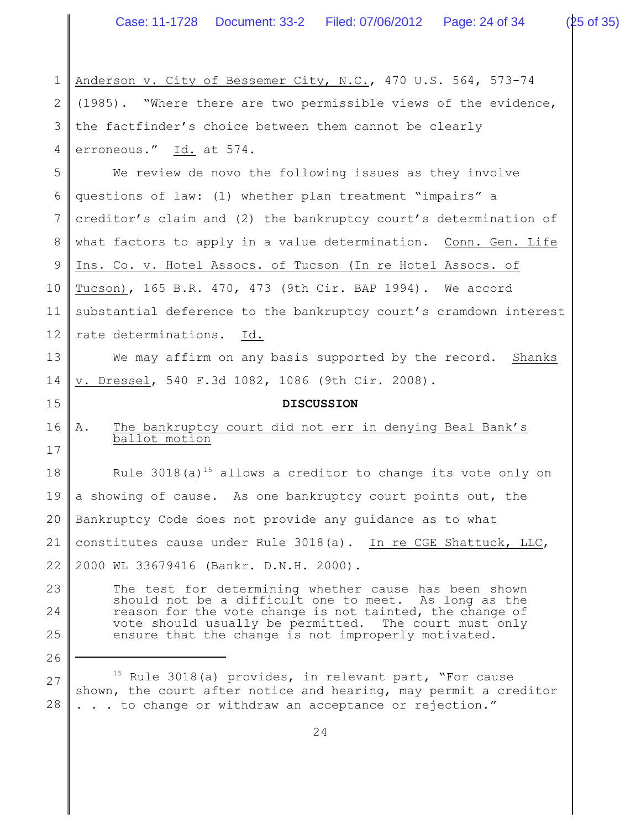| $\mathbf 1$   | Anderson v. City of Bessemer City, N.C., 470 U.S. 564, 573-74                                                                         |  |  |
|---------------|---------------------------------------------------------------------------------------------------------------------------------------|--|--|
| 2             | (1985). "Where there are two permissible views of the evidence,                                                                       |  |  |
| 3             | the factfinder's choice between them cannot be clearly                                                                                |  |  |
| 4             | erroneous." Id. at 574.                                                                                                               |  |  |
| 5             | We review de novo the following issues as they involve                                                                                |  |  |
| 6             | questions of law: (1) whether plan treatment "impairs" a                                                                              |  |  |
| 7             | creditor's claim and (2) the bankruptcy court's determination of                                                                      |  |  |
| 8             | what factors to apply in a value determination. Conn. Gen. Life                                                                       |  |  |
| $\mathcal{G}$ | Ins. Co. v. Hotel Assocs. of Tucson (In re Hotel Assocs. of                                                                           |  |  |
| 10            | Tucson), 165 B.R. 470, 473 (9th Cir. BAP 1994). We accord                                                                             |  |  |
| 11            | substantial deference to the bankruptcy court's cramdown interest                                                                     |  |  |
| 12            | rate determinations.<br>Id.                                                                                                           |  |  |
| 13            | We may affirm on any basis supported by the record. Shanks                                                                            |  |  |
| 14            | v. Dressel, 540 F.3d 1082, 1086 (9th Cir. 2008).                                                                                      |  |  |
|               | <b>DISCUSSION</b>                                                                                                                     |  |  |
| 15            |                                                                                                                                       |  |  |
| 16<br>17      | The bankruptcy court did not err in denying Beal Bank's<br>Α.<br>ballot motion                                                        |  |  |
| 18            | Rule $3018(a)^{15}$ allows a creditor to change its vote only on                                                                      |  |  |
| 19            | a showing of cause. As one bankruptcy court points out, the                                                                           |  |  |
| 20            | Bankruptcy Code does not provide any guidance as to what                                                                              |  |  |
| 21            | constitutes cause under Rule 3018(a). In re CGE Shattuck, LLC,                                                                        |  |  |
| 22            | 2000 WL 33679416 (Bankr. D.N.H. 2000).                                                                                                |  |  |
| 23            | The test for determining whether cause has been shown                                                                                 |  |  |
| 24            | should not be a difficult one to meet. As long as the<br>reason for the vote change is not tainted, the change of                     |  |  |
| 25            | vote should usually be permitted. The court must only<br>ensure that the change is not improperly motivated.                          |  |  |
| 26            |                                                                                                                                       |  |  |
| 27            | <sup>15</sup> Rule 3018(a) provides, in relevant part, "For cause<br>shown, the court after notice and hearing, may permit a creditor |  |  |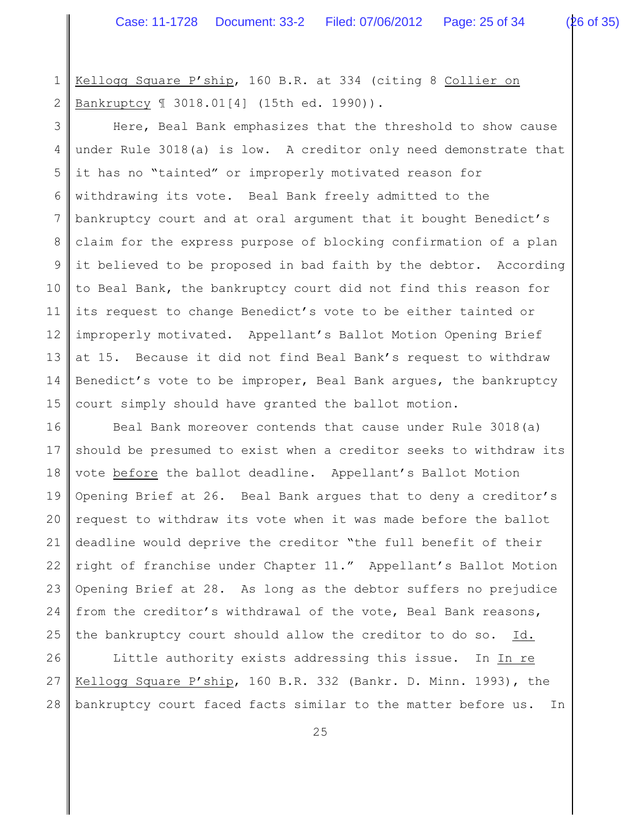1 2 Kellogg Square P'ship, 160 B.R. at 334 (citing 8 Collier on Bankruptcy ¶ 3018.01[4] (15th ed. 1990)).

3 4 5 6 7 8 9 10 11 12 13 14 15 Here, Beal Bank emphasizes that the threshold to show cause under Rule 3018(a) is low. A creditor only need demonstrate that it has no "tainted" or improperly motivated reason for withdrawing its vote. Beal Bank freely admitted to the bankruptcy court and at oral argument that it bought Benedict's claim for the express purpose of blocking confirmation of a plan it believed to be proposed in bad faith by the debtor. According to Beal Bank, the bankruptcy court did not find this reason for its request to change Benedict's vote to be either tainted or improperly motivated. Appellant's Ballot Motion Opening Brief at 15. Because it did not find Beal Bank's request to withdraw Benedict's vote to be improper, Beal Bank argues, the bankruptcy court simply should have granted the ballot motion.

16 17 18 19 20 21 22 23 24 25 Beal Bank moreover contends that cause under Rule 3018(a) should be presumed to exist when a creditor seeks to withdraw its vote before the ballot deadline. Appellant's Ballot Motion Opening Brief at 26. Beal Bank argues that to deny a creditor's request to withdraw its vote when it was made before the ballot deadline would deprive the creditor "the full benefit of their right of franchise under Chapter 11." Appellant's Ballot Motion Opening Brief at 28. As long as the debtor suffers no prejudice from the creditor's withdrawal of the vote, Beal Bank reasons, the bankruptcy court should allow the creditor to do so. Id.

26 27 28 Little authority exists addressing this issue. In In re Kellogg Square P'ship, 160 B.R. 332 (Bankr. D. Minn. 1993), the bankruptcy court faced facts similar to the matter before us. In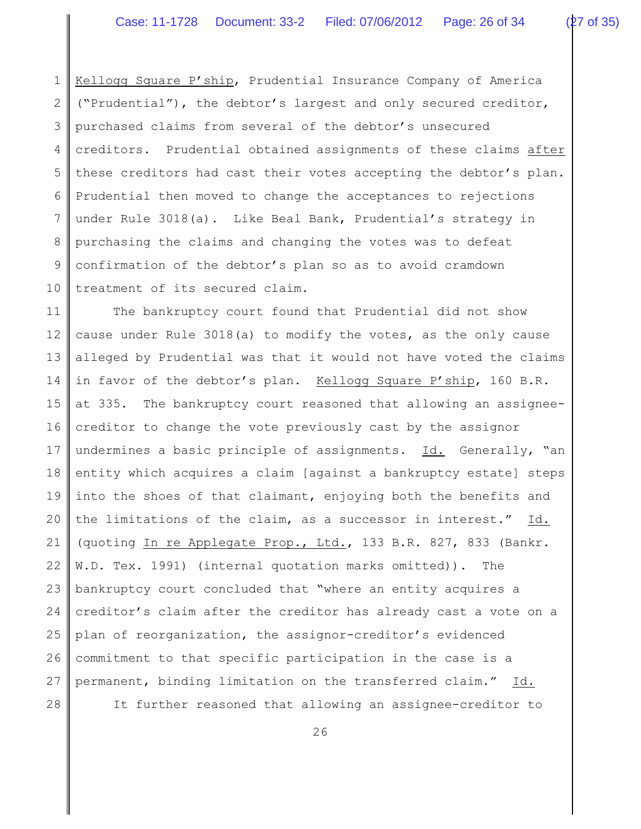1 2 3 4 5 6 7 8 9 10 Kellogg Square P'ship, Prudential Insurance Company of America ("Prudential"), the debtor's largest and only secured creditor, purchased claims from several of the debtor's unsecured creditors. Prudential obtained assignments of these claims after these creditors had cast their votes accepting the debtor's plan. Prudential then moved to change the acceptances to rejections under Rule 3018(a). Like Beal Bank, Prudential's strategy in purchasing the claims and changing the votes was to defeat confirmation of the debtor's plan so as to avoid cramdown treatment of its secured claim.

11 12 13 14 15 16 17 18 19 20 21 22 23 24 25 26 27 The bankruptcy court found that Prudential did not show cause under Rule 3018(a) to modify the votes, as the only cause alleged by Prudential was that it would not have voted the claims in favor of the debtor's plan. Kellogg Square P'ship, 160 B.R. at 335. The bankruptcy court reasoned that allowing an assigneecreditor to change the vote previously cast by the assignor undermines a basic principle of assignments. Id. Generally, "an entity which acquires a claim [against a bankruptcy estate] steps into the shoes of that claimant, enjoying both the benefits and the limitations of the claim, as a successor in interest." Id. (quoting In re Applegate Prop., Ltd., 133 B.R. 827, 833 (Bankr. W.D. Tex. 1991) (internal quotation marks omitted)). The bankruptcy court concluded that "where an entity acquires a creditor's claim after the creditor has already cast a vote on a plan of reorganization, the assignor-creditor's evidenced commitment to that specific participation in the case is a permanent, binding limitation on the transferred claim." Id.

28

It further reasoned that allowing an assignee-creditor to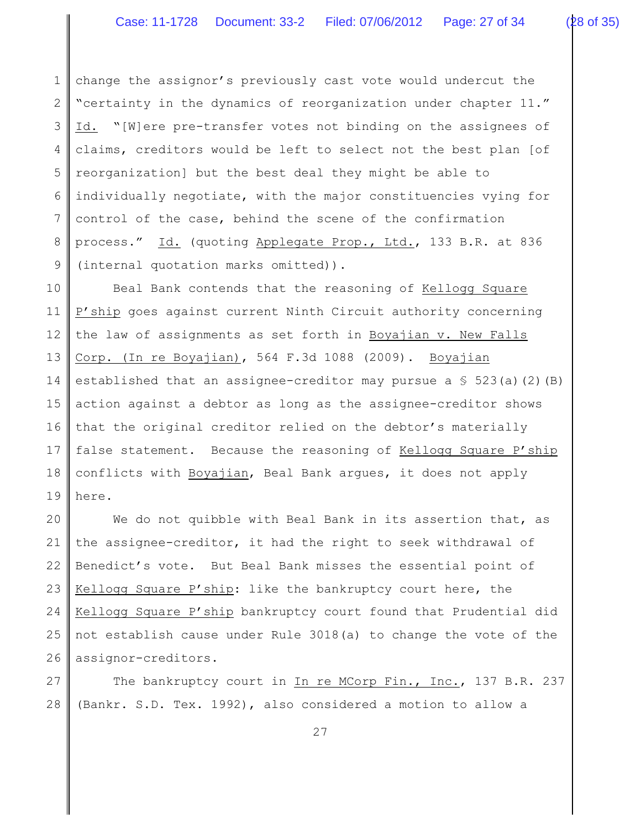1 2 3 4 5 6 7 8 9 change the assignor's previously cast vote would undercut the "certainty in the dynamics of reorganization under chapter 11." Id. "[W]ere pre-transfer votes not binding on the assignees of claims, creditors would be left to select not the best plan [of reorganization] but the best deal they might be able to individually negotiate, with the major constituencies vying for control of the case, behind the scene of the confirmation process." Id. (quoting Applegate Prop., Ltd., 133 B.R. at 836 (internal quotation marks omitted)).

10 11 12 13 14 15 16 17 18 19 Beal Bank contends that the reasoning of Kellogg Square P'ship goes against current Ninth Circuit authority concerning the law of assignments as set forth in Boyajian v. New Falls Corp. (In re Boyajian), 564 F.3d 1088 (2009). Boyajian established that an assignee-creditor may pursue a  $\S$  523(a)(2)(B) action against a debtor as long as the assignee-creditor shows that the original creditor relied on the debtor's materially false statement. Because the reasoning of Kellogg Square P'ship conflicts with Boyajian, Beal Bank argues, it does not apply here.

20 21 22 23 24 25 26 We do not quibble with Beal Bank in its assertion that, as the assignee-creditor, it had the right to seek withdrawal of Benedict's vote. But Beal Bank misses the essential point of Kellogg Square P'ship: like the bankruptcy court here, the Kellogg Square P'ship bankruptcy court found that Prudential did not establish cause under Rule 3018(a) to change the vote of the assignor-creditors.

27 28 The bankruptcy court in In re MCorp Fin., Inc., 137 B.R. 237 (Bankr. S.D. Tex. 1992), also considered a motion to allow a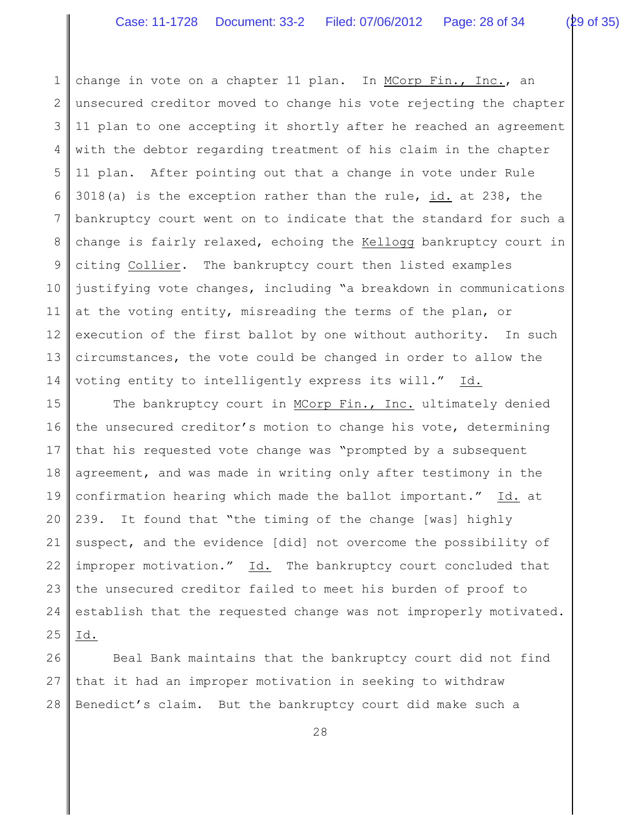1 2 3 4 5 6 7 8 9 10 11 12 13 14 change in vote on a chapter 11 plan. In MCorp Fin., Inc., an unsecured creditor moved to change his vote rejecting the chapter 11 plan to one accepting it shortly after he reached an agreement with the debtor regarding treatment of his claim in the chapter 11 plan. After pointing out that a change in vote under Rule 3018(a) is the exception rather than the rule, id. at 238, the bankruptcy court went on to indicate that the standard for such a change is fairly relaxed, echoing the Kellogg bankruptcy court in citing Collier. The bankruptcy court then listed examples justifying vote changes, including "a breakdown in communications at the voting entity, misreading the terms of the plan, or execution of the first ballot by one without authority. In such circumstances, the vote could be changed in order to allow the voting entity to intelligently express its will." Id.

15 16 17 18 19 20 21 22 23 24 25 The bankruptcy court in MCorp Fin., Inc. ultimately denied the unsecured creditor's motion to change his vote, determining that his requested vote change was "prompted by a subsequent agreement, and was made in writing only after testimony in the confirmation hearing which made the ballot important." Id. at 239. It found that "the timing of the change [was] highly suspect, and the evidence [did] not overcome the possibility of improper motivation." Id. The bankruptcy court concluded that the unsecured creditor failed to meet his burden of proof to establish that the requested change was not improperly motivated. Id.

26 27 28 Beal Bank maintains that the bankruptcy court did not find that it had an improper motivation in seeking to withdraw Benedict's claim. But the bankruptcy court did make such a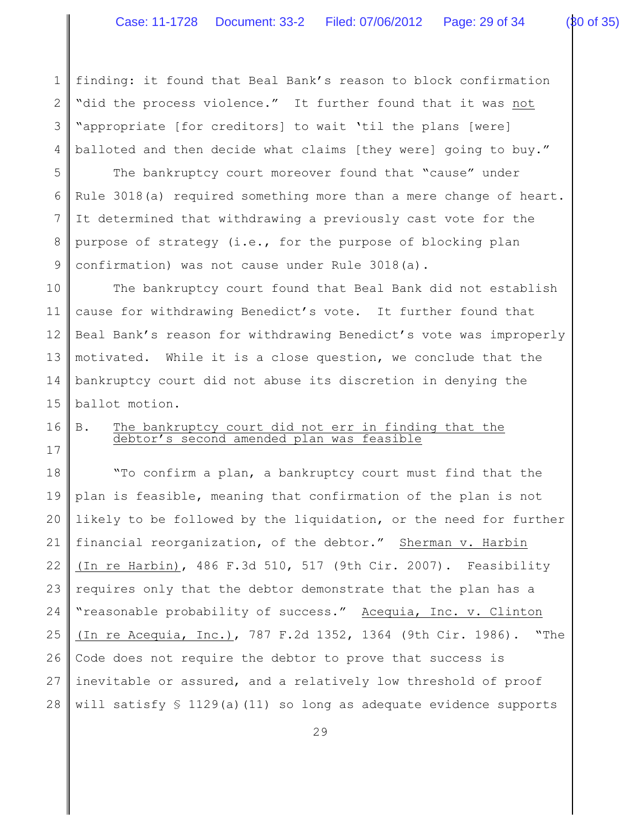1 2 3 4 finding: it found that Beal Bank's reason to block confirmation "did the process violence." It further found that it was not "appropriate [for creditors] to wait 'til the plans [were] balloted and then decide what claims [they were] going to buy."

5 6 7 8 9 The bankruptcy court moreover found that "cause" under Rule 3018(a) required something more than a mere change of heart. It determined that withdrawing a previously cast vote for the purpose of strategy (i.e., for the purpose of blocking plan confirmation) was not cause under Rule 3018(a).

10 11 12 13 14 15 The bankruptcy court found that Beal Bank did not establish cause for withdrawing Benedict's vote. It further found that Beal Bank's reason for withdrawing Benedict's vote was improperly motivated. While it is a close question, we conclude that the bankruptcy court did not abuse its discretion in denying the ballot motion.

16 B. The bankruptcy court did not err in finding that the debtor's second amended plan was feasible

17

18 19 20 21 22 23 24 25 26 27 28 "To confirm a plan, a bankruptcy court must find that the plan is feasible, meaning that confirmation of the plan is not likely to be followed by the liquidation, or the need for further financial reorganization, of the debtor." Sherman v. Harbin (In re Harbin), 486 F.3d 510, 517 (9th Cir. 2007). Feasibility requires only that the debtor demonstrate that the plan has a "reasonable probability of success." Acequia, Inc. v. Clinton (In re Acequia, Inc.), 787 F.2d 1352, 1364 (9th Cir. 1986). "The Code does not require the debtor to prove that success is inevitable or assured, and a relatively low threshold of proof will satisfy  $$ 1129(a)(11)$  so long as adequate evidence supports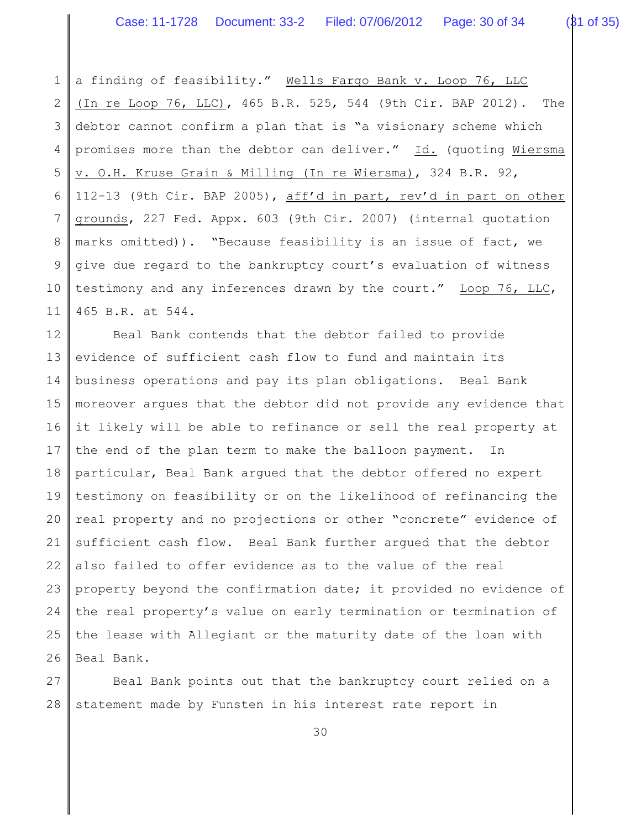1 2 3 4 5 6 7 8 9 10 11 a finding of feasibility." Wells Fargo Bank v. Loop 76, LLC (In re Loop 76, LLC), 465 B.R. 525, 544 (9th Cir. BAP 2012). The debtor cannot confirm a plan that is "a visionary scheme which promises more than the debtor can deliver." Id. (quoting Wiersma v. O.H. Kruse Grain & Milling (In re Wiersma), 324 B.R. 92, 112-13 (9th Cir. BAP 2005), aff'd in part, rev'd in part on other grounds, 227 Fed. Appx. 603 (9th Cir. 2007) (internal quotation marks omitted)). "Because feasibility is an issue of fact, we give due regard to the bankruptcy court's evaluation of witness testimony and any inferences drawn by the court." Loop 76, LLC, 465 B.R. at 544.

12 13 14 15 16 17 18 19 20 21 22 23 24 25 26 Beal Bank contends that the debtor failed to provide evidence of sufficient cash flow to fund and maintain its business operations and pay its plan obligations. Beal Bank moreover argues that the debtor did not provide any evidence that it likely will be able to refinance or sell the real property at the end of the plan term to make the balloon payment. In particular, Beal Bank argued that the debtor offered no expert testimony on feasibility or on the likelihood of refinancing the real property and no projections or other "concrete" evidence of sufficient cash flow. Beal Bank further argued that the debtor also failed to offer evidence as to the value of the real property beyond the confirmation date; it provided no evidence of the real property's value on early termination or termination of the lease with Allegiant or the maturity date of the loan with Beal Bank.

27 28 Beal Bank points out that the bankruptcy court relied on a statement made by Funsten in his interest rate report in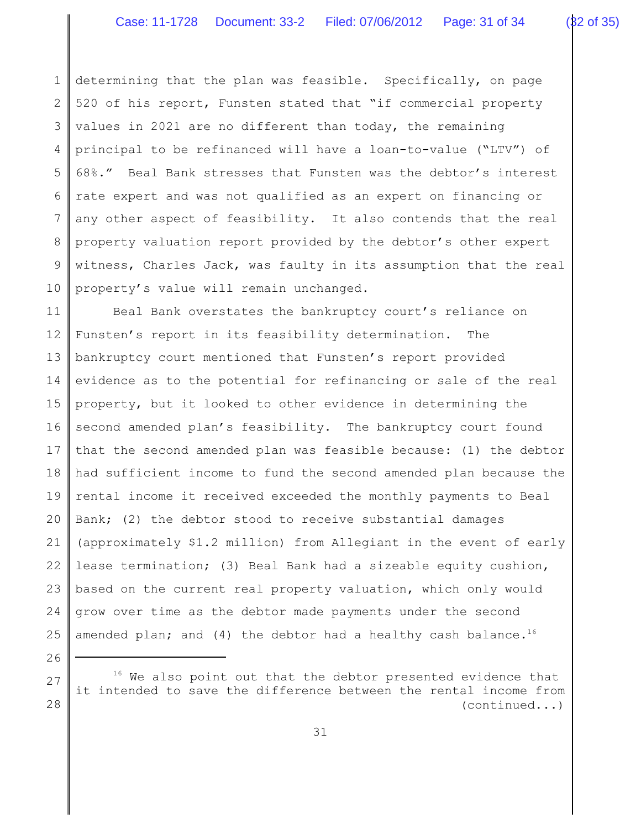1 2 3 4 5 6 7 8 9 10 determining that the plan was feasible. Specifically, on page 520 of his report, Funsten stated that "if commercial property values in 2021 are no different than today, the remaining principal to be refinanced will have a loan-to-value ("LTV") of 68%." Beal Bank stresses that Funsten was the debtor's interest rate expert and was not qualified as an expert on financing or any other aspect of feasibility. It also contends that the real property valuation report provided by the debtor's other expert witness, Charles Jack, was faulty in its assumption that the real property's value will remain unchanged.

11 12 13 14 15 16 17 18 19 20 21 22 23 24 25 Beal Bank overstates the bankruptcy court's reliance on Funsten's report in its feasibility determination. The bankruptcy court mentioned that Funsten's report provided evidence as to the potential for refinancing or sale of the real property, but it looked to other evidence in determining the second amended plan's feasibility. The bankruptcy court found that the second amended plan was feasible because: (1) the debtor had sufficient income to fund the second amended plan because the rental income it received exceeded the monthly payments to Beal Bank; (2) the debtor stood to receive substantial damages (approximately \$1.2 million) from Allegiant in the event of early lease termination; (3) Beal Bank had a sizeable equity cushion, based on the current real property valuation, which only would grow over time as the debtor made payments under the second amended plan; and (4) the debtor had a healthy cash balance.<sup>16</sup>

26

27

 $16$  We also point out that the debtor presented evidence that it intended to save the difference between the rental income from (continued...)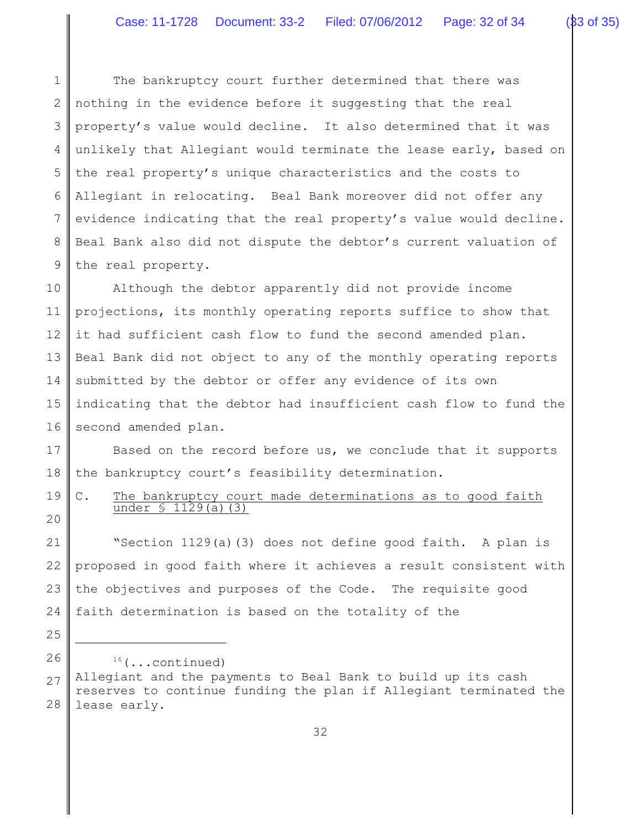1

2

3

4

5

6

7

25

The bankruptcy court further determined that there was nothing in the evidence before it suggesting that the real property's value would decline. It also determined that it was unlikely that Allegiant would terminate the lease early, based on the real property's unique characteristics and the costs to Allegiant in relocating. Beal Bank moreover did not offer any evidence indicating that the real property's value would decline.

8 9 Beal Bank also did not dispute the debtor's current valuation of the real property.

10 11 12 13 14 15 16 Although the debtor apparently did not provide income projections, its monthly operating reports suffice to show that it had sufficient cash flow to fund the second amended plan. Beal Bank did not object to any of the monthly operating reports submitted by the debtor or offer any evidence of its own indicating that the debtor had insufficient cash flow to fund the second amended plan.

17 18 Based on the record before us, we conclude that it supports the bankruptcy court's feasibility determination.

19 20 C. The bankruptcy court made determinations as to good faith under § 1129(a)(3)

21 22 23 24 "Section 1129(a)(3) does not define good faith. A plan is proposed in good faith where it achieves a result consistent with the objectives and purposes of the Code. The requisite good faith determination is based on the totality of the

26 27 28  $16$  (...continued) Allegiant and the payments to Beal Bank to build up its cash reserves to continue funding the plan if Allegiant terminated the lease early.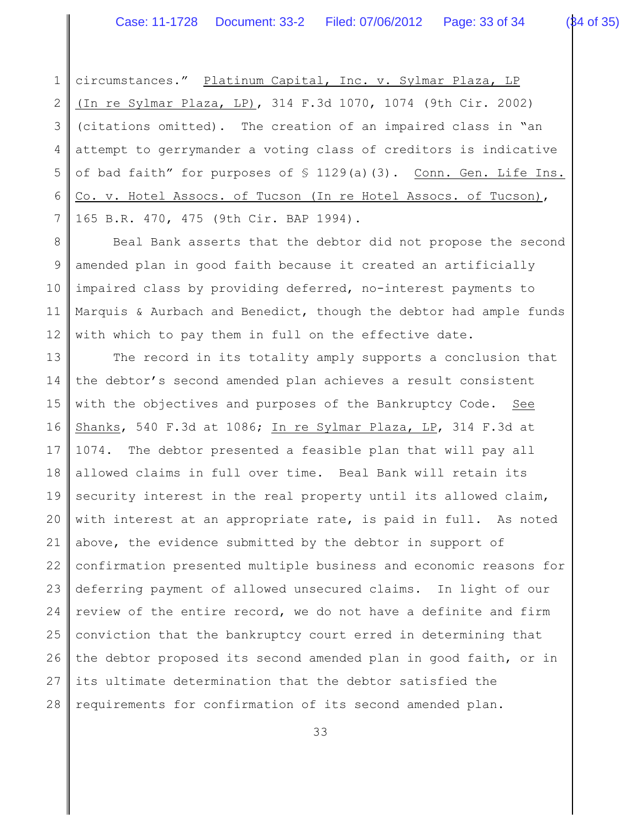1 2 3 4 5 6 7 circumstances." Platinum Capital, Inc. v. Sylmar Plaza, LP (In re Sylmar Plaza, LP), 314 F.3d 1070, 1074 (9th Cir. 2002) (citations omitted). The creation of an impaired class in "an attempt to gerrymander a voting class of creditors is indicative of bad faith" for purposes of § 1129(a)(3). Conn. Gen. Life Ins. Co. v. Hotel Assocs. of Tucson (In re Hotel Assocs. of Tucson), 165 B.R. 470, 475 (9th Cir. BAP 1994).

8 9 10 11 12 Beal Bank asserts that the debtor did not propose the second amended plan in good faith because it created an artificially impaired class by providing deferred, no-interest payments to Marquis & Aurbach and Benedict, though the debtor had ample funds with which to pay them in full on the effective date.

13 14 15 16 17 18 19 20 21 22 23 24 25 26 27 28 The record in its totality amply supports a conclusion that the debtor's second amended plan achieves a result consistent with the objectives and purposes of the Bankruptcy Code. See Shanks, 540 F.3d at 1086; In re Sylmar Plaza, LP, 314 F.3d at 1074. The debtor presented a feasible plan that will pay all allowed claims in full over time. Beal Bank will retain its security interest in the real property until its allowed claim, with interest at an appropriate rate, is paid in full. As noted above, the evidence submitted by the debtor in support of confirmation presented multiple business and economic reasons for deferring payment of allowed unsecured claims. In light of our review of the entire record, we do not have a definite and firm conviction that the bankruptcy court erred in determining that the debtor proposed its second amended plan in good faith, or in its ultimate determination that the debtor satisfied the requirements for confirmation of its second amended plan.